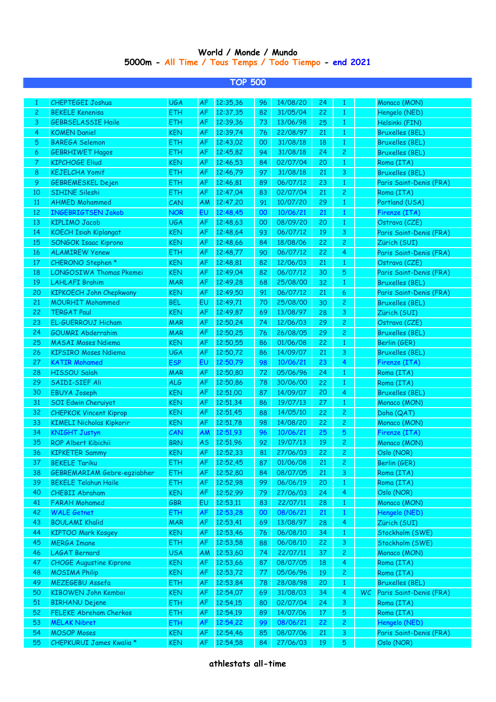## **World / Monde / Mundo 5000m - All Time / Tous Temps / Todo Tiempo - end 2021**

|              |                                    |            |           | <b>TOP 500</b> |    |          |     |                |    |                         |
|--------------|------------------------------------|------------|-----------|----------------|----|----------|-----|----------------|----|-------------------------|
|              |                                    |            |           |                |    |          |     |                |    |                         |
| 1            | <b>CHEPTEGEI Joshua</b>            | <b>UGA</b> | AF        | 12:35,36       | 96 | 14/08/20 | 24  | 1              |    | Monaco (MON)            |
| $\mathbf{2}$ | <b>BEKELE Kenenisa</b>             | <b>ETH</b> | <b>AF</b> | 12:37,35       | 82 | 31/05/04 | 22  | $\mathbf{1}$   |    | Hengelo (NED)           |
| 3            | <b>GEBRSELASSIE Haile</b>          | <b>ETH</b> | <b>AF</b> | 12:39,36       | 73 | 13/06/98 | 25  | $\mathbf{1}$   |    | Helsinki (FIN)          |
| 4            | <b>KOMEN Daniel</b>                | <b>KEN</b> | <b>AF</b> | 12:39,74       | 76 | 22/08/97 | 21  | $\mathbf{1}$   |    | <b>Bruxelles (BEL)</b>  |
| 5            | <b>BAREGA Selemon</b>              | <b>ETH</b> | <b>AF</b> | 12:43,02       | 00 | 31/08/18 | 18  | $\mathbf{1}$   |    | <b>Bruxelles (BEL)</b>  |
| 6            | <b>GEBRHIWET Hagos</b>             | <b>ETH</b> | <b>AF</b> | 12:45,82       | 94 | 31/08/18 | 24  | 2              |    | <b>Bruxelles (BEL)</b>  |
| 7            | <b>KIPCHOGE Eliud</b>              | <b>KEN</b> | <b>AF</b> | 12:46,53       | 84 | 02/07/04 | 20  | $\mathbf{1}$   |    | Roma (ITA)              |
| 8            | <b>KEJELCHA Yomif</b>              | <b>ETH</b> | <b>AF</b> | 12:46,79       | 97 | 31/08/18 | 21  | 3              |    | <b>Bruxelles (BEL)</b>  |
| 9            | <b>GEBREMESKEL Dejen</b>           | <b>ETH</b> | <b>AF</b> | 12:46,81       | 89 | 06/07/12 | 23  | $\mathbf{1}$   |    | Paris Saint-Denis (FRA) |
| 10           | <b>SIHINE Sileshi</b>              | <b>ETH</b> | <b>AF</b> | 12:47,04       | 83 | 02/07/04 | 21  | 2              |    | Roma (ITA)              |
| 11           | <b>AHMED Mohammed</b>              | CAN        | AM        | 12:47,20       | 91 | 10/07/20 | 29  | $\mathbf{1}$   |    | Portland (USA)          |
| 12           | <b>INGEBRIGTSEN Jakob</b>          | <b>NOR</b> | EU        | 12:48,45       | 00 | 10/06/21 | 21  | $\mathbf{1}$   |    | Firenze (ITA)           |
| 13           | <b>KIPLIMO Jacob</b>               | <b>UGA</b> | <b>AF</b> | 12:48,63       | 00 | 08/09/20 | 20  | 1              |    | Ostrava (CZE)           |
| 14           | <b>KOECH Isiah Kiplangat</b>       | <b>KEN</b> | <b>AF</b> | 12:48,64       | 93 | 06/07/12 | 19  | 3              |    | Paris Saint-Denis (FRA) |
| 15           | <b>SONGOK Isaac Kiprono</b>        | <b>KEN</b> | <b>AF</b> | 12:48,66       | 84 | 18/08/06 | 22  | 2              |    | Zürich (SUI)            |
| 16           | <b>ALAMIREW Yenew</b>              | <b>ETH</b> | <b>AF</b> | 12:48,77       | 90 | 06/07/12 | 22  | 4              |    | Paris Saint-Denis (FRA) |
| 17           | CHERONO Stephen *                  | <b>KEN</b> | <b>AF</b> | 12:48,81       | 82 | 12/06/03 | 21  | 1              |    | Ostrava (CZE)           |
| 18           | <b>LONGOSIWA Thomas Pkemei</b>     | <b>KEN</b> | <b>AF</b> | 12:49,04       | 82 | 06/07/12 | 30  | 5              |    | Paris Saint-Denis (FRA) |
| 19           | <b>LAHLAFI Brahim</b>              | <b>MAR</b> | <b>AF</b> | 12:49,28       | 68 | 25/08/00 | 32  | $\mathbf{1}$   |    | <b>Bruxelles (BEL)</b>  |
| 20           | <b>KIPKOECH John Chepkwony</b>     | <b>KEN</b> | <b>AF</b> | 12:49,50       | 91 | 06/07/12 | 21  | 6              |    | Paris Saint-Denis (FRA) |
| 21           | <b>MOURHIT Mohammed</b>            | <b>BEL</b> | EU        | 12:49,71       | 70 | 25/08/00 | 30  | 2              |    | <b>Bruxelles (BEL)</b>  |
| 22           | <b>TERGAT Paul</b>                 | <b>KEN</b> | <b>AF</b> | 12:49,87       | 69 | 13/08/97 | 28  | 3              |    | Zürich (SUI)            |
| 23           | <b>EL-GUERROUJ Hicham</b>          | <b>MAR</b> | <b>AF</b> | 12:50,24       | 74 | 12/06/03 | 29  | 2              |    | Ostrava (CZE)           |
| 24           | <b>GOUMRI Abderrahim</b>           | <b>MAR</b> | <b>AF</b> | 12:50,25       | 76 | 26/08/05 | 29  | $\overline{c}$ |    | <b>Bruxelles (BEL)</b>  |
| 25           | <b>MASAI Moses Ndiema</b>          | <b>KEN</b> | <b>AF</b> | 12:50,55       | 86 | 01/06/08 | 22  | $\mathbf{1}$   |    | Berlin (GER)            |
| 26           | <b>KIPSIRO Moses Ndiema</b>        | <b>UGA</b> | <b>AF</b> | 12:50,72       | 86 | 14/09/07 | 21  | 3              |    | <b>Bruxelles (BEL)</b>  |
| 27           | <b>KATIR Mohamed</b>               | <b>ESP</b> | EU        | 12:50,79       | 98 | 10/06/21 | 23  | 4              |    | Firenze (ITA)           |
| 28           | HISSOU Salah                       | <b>MAR</b> | <b>AF</b> | 12:50,80       | 72 | 05/06/96 | 24  | 1              |    | Roma (ITA)              |
| 29           | SAIDI-SIEF Ali                     | <b>ALG</b> | <b>AF</b> | 12:50,86       | 78 | 30/06/00 | 22  | 1              |    | Roma (ITA)              |
| 30           | <b>EBUYA Joseph</b>                | <b>KEN</b> | <b>AF</b> | 12:51,00       | 87 | 14/09/07 | 20  | 4              |    | <b>Bruxelles (BEL)</b>  |
| 31           | <b>SOI Edwin Cheruiyot</b>         | <b>KEN</b> | <b>AF</b> | 12:51,34       | 86 | 19/07/13 | 27  | $\mathbf{1}$   |    | Monaco (MON)            |
| 32           | <b>CHEPKOK Vincent Kiprop</b>      | <b>KEN</b> | <b>AF</b> | 12:51,45       | 88 | 14/05/10 | 22  | 2              |    | Doha (QAT)              |
| 33           | <b>KIMELI Nicholas Kipkorir</b>    | <b>KEN</b> | <b>AF</b> | 12:51,78       | 98 | 14/08/20 | 22  | 2              |    | Monaco (MON)            |
| 34           | <b>KNIGHT Justyn</b>               | CAN        | AM        | 12:51,93       | 96 | 10/06/21 | 25  | 5              |    | Firenze (ITA)           |
| 35           | <b>ROP Albert Kibichii</b>         | <b>BRN</b> | <b>AS</b> | 12:51,96       | 92 | 19/07/13 | 19  | 2              |    | Monaco (MON)            |
| 36           | <b>KIPKE TER Sammy</b>             | KEN        | АF        | 12:52,33       | 81 | 2//06/03 | 22, | z              |    | Oslo (NOR)              |
| 37           | <b>BEKELE Tariku</b>               | <b>ETH</b> | AF        | 12:52,45       | 87 | 01/06/08 | 21  | 2              |    | Berlin (GER)            |
| 38           | <b>GEBREMARIAM Gebre-egziabher</b> | <b>ETH</b> | AF        | 12:52,80       | 84 | 08/07/05 | 21  | 3              |    | Roma (ITA)              |
| 39           | <b>BEKELE Telahun Haile</b>        | <b>ETH</b> | AF        | 12:52,98       | 99 | 06/06/19 | 20  | $\mathbf{1}$   |    | Roma (ITA)              |
| 40           | <b>CHEBII Abraham</b>              | <b>KEN</b> | <b>AF</b> | 12:52,99       | 79 | 27/06/03 | 24  | 4              |    | Oslo (NOR)              |
| 41           | <b>FARAH Mohamed</b>               | GBR        | EU        | 12:53,11       | 83 | 22/07/11 | 28  | $\mathbf{1}$   |    | Monaco (MON)            |
| 42           | <b>WALE Getnet</b>                 | <b>ETH</b> | <b>AF</b> | 12:53,28       | 00 | 08/06/21 | 21  | $\mathbf{1}$   |    | Hengelo (NED)           |
| 43           | <b>BOULAMI Khalid</b>              | <b>MAR</b> | AF        | 12:53,41       | 69 | 13/08/97 | 28  | 4              |    | Zürich (SUI)            |
| 44           | <b>KIPTOO Mark Kosgey</b>          | <b>KEN</b> | AF        | 12:53,46       | 76 | 06/08/10 | 34  | $\mathbf{1}$   |    | Stockholm (SWE)         |
| 45           | <b>MERGA Imane</b>                 | <b>ETH</b> | AF        | 12:53,58       | 88 | 06/08/10 | 22  | 3              |    | Stockholm (SWE)         |
| 46           | LAGAT Bernard                      | <b>USA</b> | AM        | 12:53,60       | 74 | 22/07/11 | 37  | 2              |    | Monaco (MON)            |
| 47           | <b>CHOGE Augustine Kiprono</b>     | <b>KEN</b> | <b>AF</b> | 12:53,66       | 87 | 08/07/05 | 18  | 4              |    | Roma (ITA)              |
| 48           | <b>MOSIMA Philip</b>               | <b>KEN</b> | AF        | 12:53,72       | 77 | 05/06/96 | 19  | 2              |    | Roma (ITA)              |
| 49           | MEZEGEBU Assefa                    | <b>ETH</b> | AF        | 12:53,84       | 78 | 28/08/98 | 20  | $\mathbf{1}$   |    | <b>Bruxelles (BEL)</b>  |
| 50           | KIBOWEN John Kemboi                | <b>KEN</b> | AF        | 12:54,07       | 69 | 31/08/03 | 34  | 4              | WC | Paris Saint-Denis (FRA) |
| 51           | <b>BIRHANU Dejene</b>              | <b>ETH</b> | AF        | 12:54,15       | 80 | 02/07/04 | 24  | 3              |    | Roma (ITA)              |
| 52           | FELEKE Abreham Cherkos             | <b>ETH</b> | <b>AF</b> | 12:54,19       | 89 | 14/07/06 | 17  | 5              |    | Roma (ITA)              |
| 53           | <b>MELAK Nibret</b>                | <b>ETH</b> | AF        | 12:54,22       | 99 | 08/06/21 | 22  | 2              |    | Hengelo (NED)           |
| 54           | <b>MOSOP Moses</b>                 | <b>KEN</b> | <b>AF</b> | 12:54,46       | 85 | 08/07/06 | 21  | 3              |    | Paris Saint-Denis (FRA) |
| 55           | CHEPKURUI James Kwalia *           | <b>KEN</b> | AF        | 12:54,58       | 84 | 27/06/03 | 19  | 5              |    | Oslo (NOR)              |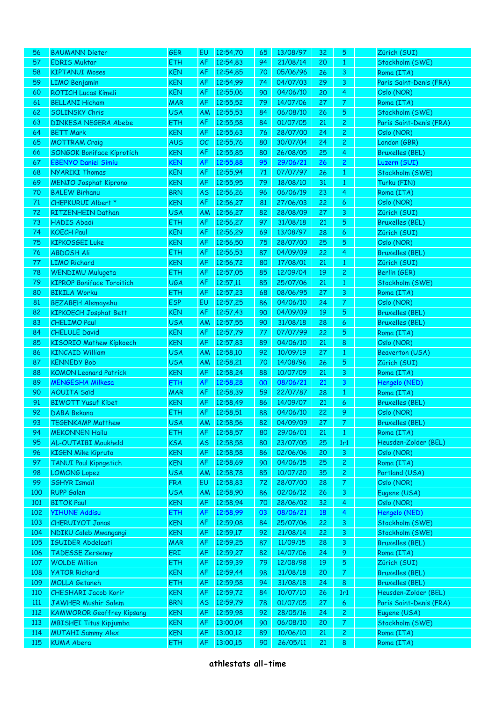| 56         | <b>BAUMANN Dieter</b>                      | <b>GER</b>               | EU                     | 12:54,70             | 65       | 13/08/97             | 32       | 5                            | Zürich (SUI)                              |
|------------|--------------------------------------------|--------------------------|------------------------|----------------------|----------|----------------------|----------|------------------------------|-------------------------------------------|
| 57         | <b>EDRIS Muktar</b>                        | <b>ETH</b>               | <b>AF</b>              | 12:54,83             | 94       | 21/08/14             | 20       | $\mathbf{1}$                 | Stockholm (SWE)                           |
| 58         | <b>KIPTANUI Moses</b>                      | <b>KEN</b>               | <b>AF</b>              | 12:54,85             | 70       | 05/06/96             | 26       | $\mathbf{3}$                 | Roma (ITA)                                |
| 59         | <b>LIMO Benjamin</b>                       | <b>KEN</b>               | <b>AF</b>              | 12:54,99             | 74       | 04/07/03             | 29       | 3                            | Paris Saint-Denis (FRA)                   |
| 60         | <b>ROTICH Lucas Kimeli</b>                 | <b>KEN</b>               | AF                     | 12:55,06             | 90       | 04/06/10             | 20       | 4                            | Oslo (NOR)                                |
| 61         | <b>BELLANI Hicham</b>                      | <b>MAR</b>               | <b>AF</b>              | 12:55,52             | 79       | 14/07/06             | 27       | $\mathcal{T}$                | Roma (ITA)                                |
| 62         | <b>SOLINSKY Chris</b>                      | <b>USA</b>               | AM                     | 12:55,53             | 84       | 06/08/10             | 26       | $\sqrt{5}$                   | Stockholm (SWE)                           |
| 63         | <b>DINKESA NEGERA Abebe</b>                | <b>ETH</b>               | AF                     | 12:55,58             | 84       | 01/07/05             | 21       | $\overline{c}$               | Paris Saint-Denis (FRA)                   |
| 64         | <b>BETT Mark</b>                           | <b>KEN</b>               | <b>AF</b>              | 12:55,63             | 76       | 28/07/00             | 24       | $\overline{c}$               | Oslo (NOR)                                |
| 65         | <b>MOTTRAM Craig</b>                       | <b>AUS</b>               | OC                     | 12:55,76             | 80       | 30/07/04             | 24       | $\overline{2}$               | London (GBR)                              |
| 66         | <b>SONGOK Boniface Kiprotich</b>           | <b>KEN</b>               | AF                     | 12:55,85             | 80       | 26/08/05             | 25       | $\overline{4}$               | <b>Bruxelles (BEL)</b>                    |
| 67         | <b>EBENYO Daniel Simiu</b>                 | <b>KEN</b>               | <b>AF</b>              | 12:55,88             | 95       | 29/06/21             | 26       | $\overline{c}$               | Luzern (SUI)                              |
| 68         | <b>NYARIKI Thomas</b>                      | <b>KEN</b>               | AF                     | 12:55,94             | $71\,$   | 07/07/97             | 26       | $\mathbf{1}$                 | Stockholm (SWE)                           |
| 69         | <b>MENJO Josphat Kiprono</b>               | <b>KEN</b>               | AF                     | 12:55,95             | 79       | 18/08/10             | 31       | $\mathbf{1}$                 | Turku (FIN)                               |
| 70         | <b>BALEW Birhanu</b>                       | <b>BRN</b>               | <b>AS</b>              | 12:56,26             | 96       | 06/06/19             | 23       | $\overline{4}$               | Roma (ITA)                                |
| $71\,$     | CHEPKURUI Albert *                         | <b>KEN</b>               | AF                     | 12:56,27             | 81       | 27/06/03             | 22       | $\epsilon$                   | Oslo (NOR)                                |
| 72         | RITZENHEIN Dathan                          | <b>USA</b>               | AM                     | 12:56,27             | 82       | 28/08/09             | 27       | $\mathbf{3}$                 | Zürich (SUI)                              |
| 73         | <b>HADIS Abadi</b>                         | ETH                      | AF                     | 12:56,27             | 97       | 31/08/18             | 21       | $\sqrt{5}$                   | <b>Bruxelles (BEL)</b>                    |
| 74         | <b>KOECH Paul</b>                          | <b>KEN</b>               | AF                     | 12:56,29             | 69       | 13/08/97             | 28       | $\epsilon$                   | Zürich (SUI)                              |
| 75         | <b>KIPKOSGEI Luke</b>                      | <b>KEN</b>               | AF                     | 12:56,50             | 75       | 28/07/00             | 25       | $\sqrt{5}$                   | Oslo (NOR)                                |
| 76         | <b>ABDOSH Ali</b>                          | <b>ETH</b>               | AF                     | 12:56,53             | 87       | 04/09/09             | 22       | $\overline{4}$               | <b>Bruxelles (BEL)</b>                    |
| 77         | <b>LIMO Richard</b>                        | <b>KEN</b>               | AF                     | 12:56,72             | 80       | 17/08/01             | 21       | $\mathbf{1}$                 | Zürich (SUI)                              |
| 78         | <b>WENDIMU Mulugeta</b>                    | ETH                      | AF                     | 12:57,05             | 85       | 12/09/04             | 19       | $\overline{c}$               | Berlin (GER)                              |
| 79         | <b>KIPROP Boniface Toroitich</b>           | <b>UGA</b>               | AF                     | 12:57,11             | 85       | 25/07/06             | 21       | $\mathbf{1}$                 | Stockholm (SWE)                           |
| 80         | <b>BIKILA Worku</b>                        | ETH                      | <b>AF</b>              | 12:57,23             | 68       | 08/06/95             | 27       | $\mathbf{3}$                 | Roma (ITA)                                |
| 81         | <b>BEZABEH Alemayehu</b>                   | <b>ESP</b>               | EU                     | 12:57,25             | 86       | 04/06/10             | 24       | $\mathcal{T}$                | Oslo (NOR)                                |
| 82         | <b>KIPKOECH Josphat Bett</b>               | <b>KEN</b>               | AF                     | 12:57,43             | 90       | 04/09/09             | 19       | $\sqrt{5}$                   | <b>Bruxelles (BEL)</b>                    |
| 83         | <b>CHELIMO Paul</b>                        | <b>USA</b>               | AM                     | 12:57,55             | 90       | 31/08/18             | 28       | $\boldsymbol{6}$             | <b>Bruxelles (BEL)</b>                    |
| 84         | <b>CHELULE David</b>                       | <b>KEN</b>               | AF                     | 12:57,79             | 77       | 07/07/99             | 22       | $\sqrt{5}$                   | Roma (ITA)                                |
| 85         | <b>KISORIO Mathew Kipkoech</b>             | <b>KEN</b>               | AF                     | 12:57,83             | 89       | 04/06/10             | 21       | 8                            | Oslo (NOR)                                |
| 86         | <b>KINCAID William</b>                     | <b>USA</b>               | AM                     | 12:58,10             | 92       | 10/09/19             | 27       | $\mathbf{1}$                 | <b>Beaverton (USA)</b>                    |
| 87         | <b>KENNEDY Bob</b>                         | <b>USA</b>               | <b>AM</b>              | 12:58,21             | 70       | 14/08/96             | 26       | $\sqrt{5}$                   | Zürich (SUI)                              |
| 88         | <b>KOMON Leonard Patrick</b>               | <b>KEN</b>               | AF                     | 12:58,24             | 88       | 10/07/09             | 21       | $\mathbf{3}$                 | Roma (ITA)                                |
| 89         | <b>MENGESHA Milkesa</b>                    | <b>ETH</b>               | <b>AF</b>              | 12:58,28             | 00       | 08/06/21             | 21       | $\mathbf{3}$                 | Hengelo (NED)                             |
| 90         | <b>AOUITA Saïd</b>                         | <b>MAR</b>               | AF                     | 12:58,39             | 59       | 22/07/87             | 28       | $\mathbf{1}$                 | Roma (ITA)                                |
| 91         | <b>BIWOTT Yusuf Kibet</b>                  | <b>KEN</b>               | AF                     | 12:58,49             | 86       | 14/09/07             | 21       | $\epsilon$                   | <b>Bruxelles (BEL)</b>                    |
| 92         | DABA Bekana                                | <b>ETH</b>               | AF                     | 12:58,51             | 88       | 04/06/10             | 22       | 9                            | Oslo (NOR)                                |
| 93         | <b>TEGENKAMP Matthew</b>                   | <b>USA</b>               |                        | AM 12:58,56          | 82       | 04/09/09             | 27       | $\bullet$                    | <b>Bruxelles (BEL)</b>                    |
| 94         | <b>MEKONNEN Hailu</b>                      | ETH                      | <b>AF</b>              | 12:58,57             | 80       | 29/06/01             | 21       | $\mathbf{1}$                 | Roma (ITA)                                |
| 95         | AL-OUTAIBI Moukheld                        | <b>KSA</b>               | <b>AS</b>              | 12:58,58             | 80       | 23/07/05             | 25       | 1r1                          | Heusden-Zolder (BEL)                      |
| 96         | <b>KIGEN Mike Kipruto</b>                  | <b>KEN</b>               | <b>AF</b>              | 12:58,58             | 86       | 02/06/06             | 20       | $\mathbf{3}$                 | Oslo (NOR)                                |
| 97         | <b>TANUI Paul Kipngetich</b>               | <b>KEN</b>               | <b>AF</b>              | 12:58,69             | 90       | 04/06/15             | 25       | $\overline{2}$               | Roma (ITA)                                |
| 98         | <b>LOMONG Lopez</b>                        | <b>USA</b>               | <b>AM</b>              | 12:58,78             | 85       | 10/07/20             | 35       | $\overline{2}$               | Portland (USA)                            |
| 99         | <b>SGHYR Ismail</b>                        | <b>FRA</b>               | EU                     | 12:58,83             | 72       | 28/07/00             | 28       | $\mathcal{T}$                | Oslo (NOR)                                |
| 100        | <b>RUPP Galen</b>                          | <b>USA</b>               | <b>AM</b>              | 12:58,90             | 86       | 02/06/12             | 26       | $\mathsf{3}$                 | Eugene (USA)                              |
| 101        | <b>BITOK Paul</b><br><b>YIHUNE Addisu</b>  | <b>KEN</b>               | AF                     | 12:58,94<br>12:58,99 | 70       | 28/06/02<br>08/06/21 | 32       | $\overline{4}$               | Oslo (NOR)                                |
| 102        |                                            | ETH                      | <b>AF</b>              |                      | 03       |                      | 18       | $\overline{4}$               | Hengelo (NED)                             |
| 103        | <b>CHERUIYOT Jonas</b>                     | <b>KEN</b>               | <b>AF</b>              | 12:59,08             | 84       | 25/07/06             | 22       | $\mathbf{3}$                 | Stockholm (SWE)                           |
| 104<br>105 | NDIKU Caleb Mwangangi<br>IGUIDER Abdelaati | <b>KEN</b><br><b>MAR</b> | <b>AF</b><br><b>AF</b> | 12:59,17<br>12:59,25 | 92<br>87 | 21/08/14<br>11/09/15 | 22<br>28 | $\mathsf{3}$<br>$\mathsf{3}$ | Stockholm (SWE)<br><b>Bruxelles (BEL)</b> |
| 106        | <b>TADESSE Zersenay</b>                    | ERI                      |                        | 12:59,27             | 82       | 14/07/06             | 24       |                              | Roma (ITA)                                |
| 107        | <b>WOLDE Million</b>                       | <b>ETH</b>               | AF<br><b>AF</b>        | 12:59,39             | 79       | 12/08/98             | 19       | 9<br>$\sqrt{5}$              | Zürich (SUI)                              |
| 108        | <b>YATOR Richard</b>                       | <b>KEN</b>               | <b>AF</b>              | 12:59,44             | 98       | 31/08/18             | 20       | $\mathcal{T}$                | <b>Bruxelles (BEL)</b>                    |
| 109        | <b>MOLLA Getaneh</b>                       | <b>ETH</b>               | <b>AF</b>              | 12:59,58             | 94       | 31/08/18             | 24       | $\bf 8$                      | <b>Bruxelles (BEL)</b>                    |
| 110        | <b>CHESHARI Jacob Korir</b>                | <b>KEN</b>               | <b>AF</b>              | 12:59,72             | 84       | 10/07/10             | 26       | 1r1                          | Heusden-Zolder (BEL)                      |
| <b>111</b> | <b>JAWHER Mushir Salem</b>                 | <b>BRN</b>               | <b>AS</b>              | 12:59,79             | 78       | 01/07/05             | 27       | $\epsilon$                   | Paris Saint-Denis (FRA)                   |
| 112        | <b>KAMWOROR Geoffrey Kipsang</b>           | <b>KEN</b>               | <b>AF</b>              | 12:59,98             | 92       | 28/05/16             | 24       | $\overline{c}$               | Eugene (USA)                              |
| 113        | <b>MBISHEI Titus Kipjumba</b>              | <b>KEN</b>               | <b>AF</b>              | 13:00,04             | 90       | 06/08/10             | 20       | $\mathcal{T}$                | Stockholm (SWE)                           |
| 114        | <b>MUTAHI Sammy Alex</b>                   | <b>KEN</b>               | <b>AF</b>              | 13:00,12             | 89       | 10/06/10             | 21       | $\mathbf{2}$                 | Roma (ITA)                                |
| 115        | <b>KUMA Abera</b>                          | ETH                      | AF                     | 13:00,15             | 90       | 26/05/11             | 21       | $\bf 8$                      | Roma (ITA)                                |
|            |                                            |                          |                        |                      |          |                      |          |                              |                                           |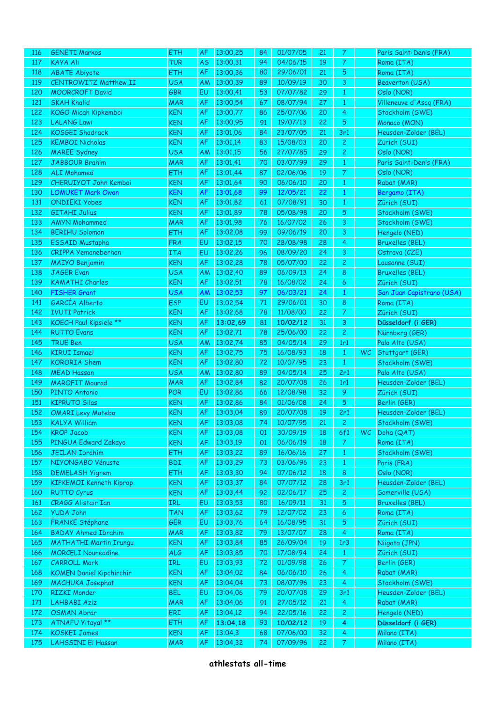| 116        | <b>GENETI Markos</b>                            | <b>ETH</b>               | AF              | 13:00,25             | 84       | 01/07/05             | 21       | 7                           |           | Paris Saint-Denis (FRA)                    |
|------------|-------------------------------------------------|--------------------------|-----------------|----------------------|----------|----------------------|----------|-----------------------------|-----------|--------------------------------------------|
| 117        | <b>KAYA Ali</b>                                 | <b>TUR</b>               | <b>AS</b>       | 13:00,31             | 94       | 04/06/15             | 19       | $\boldsymbol{7}$            |           | Roma (ITA)                                 |
| 118        | <b>ABATE Abiyote</b>                            | ETH                      | <b>AF</b>       | 13:00,36             | 80       | 29/06/01             | 21       | $\sqrt{5}$                  |           | Roma (ITA)                                 |
| 119        | <b>CENTROWITZ Matthew II</b>                    | <b>USA</b>               | <b>AM</b>       | 13:00,39             | 89       | 10/09/19             | 30       | 3                           |           | <b>Beaverton (USA)</b>                     |
| 120        | <b>MOORCROFT David</b>                          | <b>GBR</b>               | EU              | 13:00,41             | 53       | 07/07/82             | 29       | $\mathbf{1}$                |           | Oslo (NOR)                                 |
| 121        | <b>SKAH Khalid</b>                              | <b>MAR</b>               | AF              | 13:00,54             | 67       | 08/07/94             | 27       | $\mathbf{1}$                |           | Villeneuve d'Ascq (FRA)                    |
| 122        | KOGO Micah Kipkemboi                            | <b>KEN</b>               | <b>AF</b>       | 13:00,77             | 86       | 25/07/06             | 20       | 4                           |           | Stockholm (SWE)                            |
| 123        | <b>LALANG Lawi</b>                              | <b>KEN</b>               | AF              | 13:00,95             | 91       | 19/07/13             | 22       | $\sqrt{5}$                  |           | Monaco (MON)                               |
| 124        | <b>KOSGEI Shadrack</b>                          | <b>KEN</b>               | <b>AF</b>       | 13:01,06             | 84       | 23/07/05             | 21       | 3r1                         |           | Heusden-Zolder (BEL)                       |
| 125        | <b>KEMBOI Nicholas</b>                          | <b>KEN</b>               | <b>AF</b>       | 13:01,14             | 83       | 15/08/03             | 20       | $\overline{2}$              |           | Zürich (SUI)                               |
| 126        | <b>MAREE Sydney</b>                             | <b>USA</b>               | <b>AM</b>       | 13:01,15             | 56       | 27/07/85             | 29       | $\mathbf{2}$                |           | Oslo (NOR)                                 |
| 127        | <b>JABBOUR Brahim</b>                           | <b>MAR</b>               | AF              | 13:01,41             | 70       | 03/07/99             | 29       | $\mathbf{1}$                |           | Paris Saint-Denis (FRA)                    |
| 128        | <b>ALI Mohamed</b>                              | <b>ETH</b>               | AF              | 13:01,44             | 87       | 02/06/06             | 19       | $\overline{7}$              |           | Oslo (NOR)                                 |
| 129        | CHERUIYOT John Kemboi                           | <b>KEN</b>               | AF              | 13:01,64             | 90       | 06/06/10             | 20       | $\mathbf{1}$                |           | Rabat (MAR)                                |
| 130        | <b>LOMUKET Mark Owon</b>                        | <b>KEN</b>               | AF              | 13:01,68             | 99       | 12/05/21             | 22       | $\mathbf{1}$                |           | Bergamo (ITA)                              |
| 131        | <b>ONDIEKI Yobes</b>                            | <b>KEN</b>               | AF              | 13:01,82             | 61       | 07/08/91             | 30       | $\mathbf{1}$                |           | Zürich (SUI)                               |
| 132        | <b>GITAHI Julius</b>                            | <b>KEN</b>               | AF              | 13:01,89             | 78       | 05/08/98             | 20       | $\sqrt{5}$                  |           | Stockholm (SWE)                            |
| 133        | <b>AMYN Mohammed</b>                            | <b>MAR</b>               | AF              | 13:01,98             | 76       | 16/07/02             | 26       | 3                           |           | Stockholm (SWE)                            |
| 134        | <b>BERIHU Solomon</b>                           | <b>ETH</b>               | <b>AF</b>       | 13:02,08             | 99       | 09/06/19             | 20       | 3                           |           | Hengelo (NED)                              |
| 135        | ESSAID Mustapha                                 | <b>FRA</b>               | EU              | 13:02,15             | 70       | 28/08/98             | 28       | 4                           |           | <b>Bruxelles (BEL)</b>                     |
| 136        | <b>CRIPPA Yemaneberhan</b>                      | <b>ITA</b>               | EU              | 13:02,26             | 96       | 08/09/20             | 24       | 3                           |           | Ostrava (CZE)                              |
| 137        | <b>MAIYO Benjamin</b>                           | <b>KEN</b>               | AF              | 13:02,28             | 78       | 05/07/00             | 22       | $\mathbf{2}$                |           | Lausanne (SUI)                             |
| 138        | <b>JAGER Evan</b>                               | <b>USA</b>               | <b>AM</b>       | 13:02,40             | 89       | 06/09/13             | 24       | 8                           |           | <b>Bruxelles (BEL)</b>                     |
| 139        | <b>KAMATHI Charles</b>                          | <b>KEN</b>               | AF              | 13:02,51             | 78       | 16/08/02             | 24       | 6                           |           | Zürich (SUI)                               |
| 140        | <b>FISHER Grant</b>                             | <b>USA</b>               | AM              | 13:02,53             | 97       | 06/03/21             | 24       | $\mathbf{1}$                |           | San Juan Capistrano (USA)                  |
| 141        | GARCÍA Alberto                                  | <b>ESP</b>               | EU              | 13:02,54             | 71       | 29/06/01             | 30       | 8                           |           | Roma (ITA)                                 |
| 142        | <b>IVUTI Patrick</b>                            | <b>KEN</b>               | AF              | 13:02,68             | 78       | 11/08/00             | 22       | $\mathcal{I}$               |           | Zürich (SUI)                               |
| 143        | KOECH Paul Kipsiele **                          | <b>KEN</b>               | AF              | 13:02,69             | 81       | 10/02/12             | 31       | 3                           |           | Düsseldorf (i GER)                         |
| 144        | <b>RUTTO Evans</b>                              | <b>KEN</b>               | AF              | 13:02,71             | 78       | 25/06/00             | 22       | $\mathbf{2}$                |           | Nürnberg (GER)                             |
| 145        | <b>TRUE Ben</b>                                 | <b>USA</b>               | <b>AM</b>       | 13:02,74             | 85       | 04/05/14             | 29       | 1r1                         |           | Palo Alto (USA)                            |
| 146        | <b>KIRUI Ismael</b>                             | <b>KEN</b>               | <b>AF</b>       | 13:02,75             | 75       | 16/08/93             | 18       | $\mathbf{1}$                | <b>WC</b> | Stuttgart (GER)                            |
| 147        | <b>KORORIA</b> Shem                             | <b>KEN</b>               | AF              | 13:02,80             | 72       | 10/07/95             | 23       | $\mathbf{1}$                |           | Stockholm (SWE)                            |
| 148        | <b>MEAD Hassan</b>                              | <b>USA</b>               | <b>AM</b>       | 13:02,80             | 89       | 04/05/14             | 25       | 2r1                         |           | Palo Alto (USA)                            |
| 149        | <b>MAROFIT Mourad</b>                           | <b>MAR</b>               | <b>AF</b>       | 13:02,84             | 82       | 20/07/08             | 26       | 1r1                         |           | Heusden-Zolder (BEL)                       |
| 150        | PINTO Antonio                                   | <b>POR</b>               | EU              | 13:02,86             | 66       | 12/08/98             | 32       | 9                           |           | Zürich (SUI)                               |
| 151        | <b>KIPRUTO Silas</b>                            | <b>KEN</b>               | AF              | 13:02,86             | 84       | 01/06/08             | 24       | $\sqrt{5}$                  |           | Berlin (GER)                               |
| 152        | <b>OMARI Levy Matebo</b>                        | <b>KEN</b>               | AF              | 13:03,04             | 89       | 20/07/08             | 19       | 2r1                         |           | Heusden-Zolder (BEL)                       |
| 153        | <b>KALYA William</b>                            | <b>KEN</b>               |                 | AF 13:03,08          | 74       | 10/07/95             | 21       | 2 <sup>7</sup>              |           | Stockholm (SWE)                            |
| 154        | <b>KROP Jacob</b>                               | <b>KEN</b>               | AF              | 13:03,08             | 01       | 30/09/19             | 18       | 6f1                         | WC.       | Doha (QAT)                                 |
| 155        | PINGUA Edward Zakayo                            | <b>KEN</b>               | AF              | 13:03,19             | 01       | 06/06/19             | 18       | $\mathcal{T}$               |           | Roma (ITA)                                 |
| 156        | <b>JEILAN Ibrahim</b>                           | <b>ETH</b>               | <b>AF</b>       | 13:03,22             | 89       | 16/06/16             | 27       | $\mathbf{1}$                |           | Stockholm (SWE)                            |
| 157        | NIYONGABO Vénuste                               | <b>BDI</b>               | AF              | 13:03,29             | 73       | 03/06/96             | 23       | $\mathbf{1}$                |           | Paris (FRA)                                |
| 158        | <b>DEMELASH Yigrem</b>                          | <b>ETH</b>               | AF              | 13:03,30             | 94       | 07/06/12             | 18       | 8                           |           | Oslo (NOR)                                 |
| 159        | <b>KIPKEMOI Kenneth Kiprop</b>                  | <b>KEN</b><br><b>KEN</b> | AF              | 13:03,37<br>13:03,44 | 84       | 07/07/12<br>02/06/17 | 28       | 3r1                         |           | Heusden-Zolder (BEL)                       |
| 160<br>161 | <b>RUTTO Cyrus</b><br><b>CRAGG Alistair Ian</b> | IRL                      | <b>AF</b>       | 13:03,53             | 92<br>80 | 16/09/11             | 25<br>31 | $\mathbf{2}$                |           | Somerville (USA)<br><b>Bruxelles (BEL)</b> |
| 162        | <b>YUDA John</b>                                | <b>TAN</b>               | EU<br><b>AF</b> | 13:03,62             | 79       | 12/07/02             | 23       | 5<br>6                      |           | Roma (ITA)                                 |
| 163        | <b>FRANKE Stéphane</b>                          | <b>GER</b>               | EU              | 13:03,76             | 64       | 16/08/95             | 31       | 5                           |           | Zürich (SUI)                               |
| 164        | <b>BADAY Ahmed Ibrahim</b>                      | <b>MAR</b>               | AF              | 13:03,82             | 79       | 13/07/07             | 28       | 4                           |           | Roma (ITA)                                 |
| 165        | <b>MATHATHI Martin Irungu</b>                   | <b>KEN</b>               | AF              | 13:03,84             | 85       | 26/09/04             | 19       | 1r3                         |           | Niigata (JPN)                              |
| 166        | <b>MORCELI Noureddine</b>                       | ALG                      | <b>AF</b>       | 13:03,85             | 70       | 17/08/94             | 24       | $\mathbf{1}$                |           | Zürich (SUI)                               |
| 167        | <b>CARROLL Mark</b>                             | IRL                      | EU              | 13:03,93             | 72       | 01/09/98             | 26       | $\mathcal{I}_{\mathcal{I}}$ |           | Berlin (GER)                               |
| 168        | <b>KOMEN Daniel Kipchirchir</b>                 | <b>KEN</b>               | AF              | 13:04,02             | 84       | 06/06/10             | 26       | $\overline{4}$              |           | Rabat (MAR)                                |
| 169        | <b>MACHUKA Josephat</b>                         | <b>KEN</b>               | <b>AF</b>       | 13:04,04             | 73       | 08/07/96             | 23       | $\overline{4}$              |           | Stockholm (SWE)                            |
| 170        | <b>RIZKI Monder</b>                             | <b>BEL</b>               | EU              | 13:04,06             | 79       | 20/07/08             | 29       | 3r1                         |           | Heusden-Zolder (BEL)                       |
| 171        | <b>LAHBABI Aziz</b>                             | <b>MAR</b>               | AF              | 13:04,06             | 91       | 27/05/12             | 21       | $\overline{4}$              |           | Rabat (MAR)                                |
| 172        | <b>OSMAN Abrar</b>                              | ERI                      | AF              | 13:04,12             | 94       | 22/05/16             | 22       | $\mathbf{2}$                |           | Hengelo (NED)                              |
| 173        | ATNAFU Yitayal **                               | <b>ETH</b>               | AF              | 13:04,18             | 93       | 10/02/12             | 19       | 4                           |           | Düsseldorf (i GER)                         |
| 174        | <b>KOSKEI James</b>                             | <b>KEN</b>               | AF              | 13:04,3              | 68       | 07/06/00             | 32       | 4                           |           | Milano (ITA)                               |
| 175        | LAHSSINI El Hassan                              | <b>MAR</b>               | AF              | 13:04,32             | 74       | 07/09/96             | 22       | $\mathcal{T}$               |           | Milano (ITA)                               |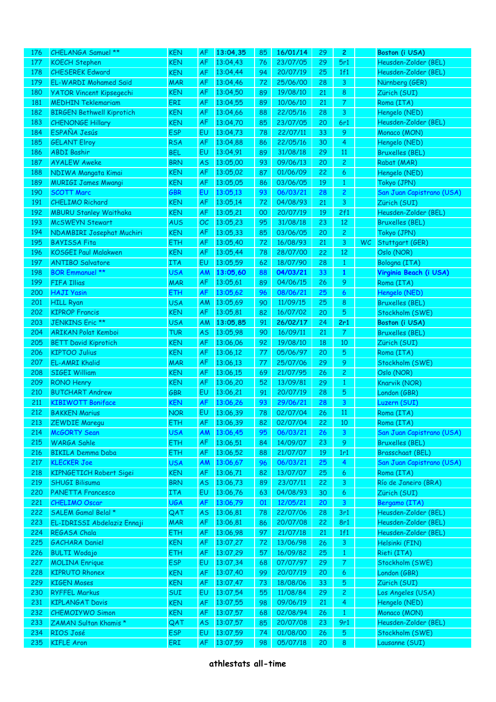| 176 | CHELANGA Samuel **               | <b>KEN</b> | <b>AF</b> | 13:04,35 | 85 | 16/01/14 | 29 | $\overline{c}$ |           | Boston (i USA)            |
|-----|----------------------------------|------------|-----------|----------|----|----------|----|----------------|-----------|---------------------------|
| 177 | <b>KOECH Stephen</b>             | <b>KEN</b> | AF        | 13:04,43 | 76 | 23/07/05 | 29 | 5r1            |           | Heusden-Zolder (BEL)      |
| 178 | <b>CHESEREK Edward</b>           | <b>KEN</b> | <b>AF</b> | 13:04,44 | 94 | 20/07/19 | 25 | 1f1            |           | Heusden-Zolder (BEL)      |
| 179 | <b>EL-WARDI Mohamed Saïd</b>     | <b>MAR</b> | AF        | 13:04,46 | 72 | 25/06/00 | 28 | 3              |           | Nürnberg (GER)            |
| 180 | <b>YATOR Vincent Kipsegechi</b>  | <b>KEN</b> | AF        | 13:04,50 | 89 | 19/08/10 | 21 | 8              |           | Zürich (SUI)              |
| 181 | <b>MEDHIN Teklemariam</b>        | ERI        | AF        | 13:04,55 | 89 | 10/06/10 | 21 | $\mathcal{T}$  |           | Roma (ITA)                |
| 182 | <b>BIRGEN Bethwell Kiprotich</b> | <b>KEN</b> | AF        | 13:04,66 | 88 | 22/05/16 | 28 | 3              |           | Hengelo (NED)             |
| 183 | <b>CHENONGE Hillary</b>          | <b>KEN</b> | AF        | 13:04,70 | 85 | 23/07/05 | 20 | 6r1            |           | Heusden-Zolder (BEL)      |
| 184 | ESPAÑA Jesús                     | <b>ESP</b> | EU        | 13:04,73 | 78 | 22/07/11 | 33 | 9              |           | Monaco (MON)              |
| 185 | <b>GELANT Elroy</b>              | <b>RSA</b> | AF        | 13:04,88 | 86 | 22/05/16 | 30 | 4              |           | Hengelo (NED)             |
| 186 | <b>ABDI Bashir</b>               | <b>BEL</b> | EU        | 13:04,91 | 89 | 31/08/18 | 29 | 11             |           | <b>Bruxelles (BEL)</b>    |
| 187 | <b>AYALEW Aweke</b>              | <b>BRN</b> | <b>AS</b> | 13:05,00 | 93 | 09/06/13 | 20 | $\overline{c}$ |           | Rabat (MAR)               |
| 188 | NDIWA Mangata Kimai              | <b>KEN</b> | AF        | 13:05,02 | 87 | 01/06/09 | 22 | 6              |           | Hengelo (NED)             |
| 189 | <b>MURIGI James Mwangi</b>       | <b>KEN</b> | AF        | 13:05,05 | 86 | 03/06/05 | 19 | $\mathbf{1}$   |           | Tokyo (JPN)               |
| 190 | <b>SCOTT Marc</b>                | <b>GBR</b> | EU        | 13:05,13 | 93 | 06/03/21 | 28 |                |           | San Juan Capistrano (USA) |
|     |                                  | <b>KEN</b> |           |          |    |          |    | $\overline{c}$ |           |                           |
| 191 | <b>CHELIMO Richard</b>           |            | AF        | 13:05,14 | 72 | 04/08/93 | 21 | 3              |           | Zürich (SUI)              |
| 192 | <b>MBURU Stanley Waithaka</b>    | <b>KEN</b> | AF        | 13:05,21 | 00 | 20/07/19 | 19 | 2f1            |           | Heusden-Zolder (BEL)      |
| 193 | <b>McSWEYN Stewart</b>           | <b>AUS</b> | OC        | 13:05,23 | 95 | 31/08/18 | 23 | 12             |           | <b>Bruxelles (BEL)</b>    |
| 194 | NDAMBIRI Josephat Muchiri        | <b>KEN</b> | AF        | 13:05,33 | 85 | 03/06/05 | 20 | $\mathbf{2}$   |           | Tokyo (JPN)               |
| 195 | <b>BAYISSA Fita</b>              | <b>ETH</b> | AF        | 13:05,40 | 72 | 16/08/93 | 21 | 3              | <b>WC</b> | Stuttgart (GER)           |
| 196 | <b>KOSGEI Paul Malakwen</b>      | <b>KEN</b> | <b>AF</b> | 13:05,44 | 78 | 28/07/00 | 22 | $12\,$         |           | Oslo (NOR)                |
| 197 | <b>ANTIBO Salvatore</b>          | <b>ITA</b> | EU        | 13:05,59 | 62 | 18/07/90 | 28 | $\mathbf{1}$   |           | Bologna (ITA)             |
| 198 | <b>BOR Emmanuel **</b>           | <b>USA</b> | <b>AM</b> | 13:05,60 | 88 | 04/03/21 | 33 | $\mathbf{1}$   |           | Virginia Beach (i USA)    |
| 199 | <b>FIFA Illias</b>               | <b>MAR</b> | AF        | 13:05,61 | 89 | 04/06/15 | 26 | 9              |           | Roma (ITA)                |
| 200 | <b>HAJI Yasin</b>                | ETH        | AF        | 13:05,62 | 96 | 08/06/21 | 25 | 6              |           | Hengelo (NED)             |
| 201 | <b>HILL Ryan</b>                 | <b>USA</b> | <b>AM</b> | 13:05,69 | 90 | 11/09/15 | 25 | 8              |           | <b>Bruxelles (BEL)</b>    |
| 202 | <b>KIPROP Francis</b>            | <b>KEN</b> | <b>AF</b> | 13:05,81 | 82 | 16/07/02 | 20 | 5              |           | Stockholm (SWE)           |
| 203 | JENKINS Eric **                  | <b>USA</b> | <b>AM</b> | 13:05,85 | 91 | 26/02/17 | 24 | 2r1            |           | Boston (i USA)            |
| 204 | <b>ARIKAN Polat Kemboi</b>       | <b>TUR</b> | <b>AS</b> | 13:05,98 | 90 | 16/09/11 | 21 | $\mathcal{T}$  |           | <b>Bruxelles (BEL)</b>    |
| 205 | <b>BETT David Kiprotich</b>      | <b>KEN</b> | AF        | 13:06,06 | 92 | 19/08/10 | 18 | 10             |           | Zürich (SUI)              |
| 206 | <b>KIPTOO Julius</b>             | <b>KEN</b> | AF        | 13:06,12 | 77 | 05/06/97 | 20 | 5              |           | Roma (ITA)                |
| 207 | <b>EL-AMRI Khalid</b>            | <b>MAR</b> | AF        | 13:06,13 | 77 | 25/07/06 | 29 | 9              |           | Stockholm (SWE)           |
| 208 | <b>SIGEI William</b>             | <b>KEN</b> | AF        | 13:06,15 | 69 | 21/07/95 | 26 | $\overline{c}$ |           | Oslo (NOR)                |
| 209 | <b>RONO Henry</b>                | <b>KEN</b> | <b>AF</b> | 13:06,20 | 52 | 13/09/81 | 29 | $\mathbf{1}$   |           | Knarvik (NOR)             |
| 210 | <b>BUTCHART Andrew</b>           | GBR        | EU        | 13:06,21 | 91 | 20/07/19 | 28 | 5              |           | London (GBR)              |
| 211 | <b>KIBIWOTT Boniface</b>         | <b>KEN</b> | AF        | 13:06,26 | 93 | 29/06/21 | 28 | 3              |           | Luzern (SUI)              |
| 212 | <b>BAKKEN Marius</b>             | <b>NOR</b> | EU        | 13:06,39 | 78 | 02/07/04 | 26 | 11             |           | Roma (ITA)                |
| 213 | <b>ZEWDIE Maregu</b>             | ETH        | AF        | 13:06,39 | 82 | 02/07/04 | 22 | $10\,$         |           | Roma (ITA)                |
| 214 | McGORTY Sean                     | <b>USA</b> | <b>AM</b> | 13:06,45 | 95 | 06/03/21 | 26 | 3              |           | San Juan Capistrano (USA) |
| 215 | <b>WARGA Sahle</b>               | <b>ETH</b> | AF        | 13:06,51 | 84 | 14/09/07 | 23 | 9              |           | <b>Bruxelles (BEL)</b>    |
|     |                                  |            |           |          |    |          |    |                |           |                           |
| 216 | <b>BIKILA Demma Daba</b>         | <b>ETH</b> | AF        | 13:06,52 | 88 | 21/07/07 | 19 | 1r1            |           | Brasschaat (BEL)          |
| 217 | <b>KLECKER Joe</b>               | <b>USA</b> | <b>AM</b> | 13:06,67 | 96 | 06/03/21 | 25 | $\overline{4}$ |           | San Juan Capistrano (USA) |
| 218 | <b>KIPNGETICH Robert Sigei</b>   | <b>KEN</b> | AF        | 13:06,71 | 82 | 13/07/07 | 25 | 6              |           | Roma (ITA)                |
| 219 | <b>SHUGI Bilisuma</b>            | <b>BRN</b> | <b>AS</b> | 13:06,73 | 89 | 23/07/11 | 22 | 3              |           | Río de Janeiro (BRA)      |
| 220 | <b>PANETTA Francesco</b>         | <b>ITA</b> | EU        | 13:06,76 | 63 | 04/08/93 | 30 | 6              |           | Zürich (SUI)              |
| 221 | <b>CHELIMO Oscar</b>             | <b>UGA</b> | <b>AF</b> | 13:06,79 | 01 | 12/05/21 | 20 | 3              |           | Bergamo (ITA)             |
| 222 | <b>SALEM Gamal Belal *</b>       | QAT        | <b>AS</b> | 13:06,81 | 78 | 22/07/06 | 28 | 3r1            |           | Heusden-Zolder (BEL)      |
| 223 | EL-IDRISSI Abdelaziz Ennaji      | <b>MAR</b> | AF        | 13:06,81 | 86 | 20/07/08 | 22 | 8r1            |           | Heusden-Zolder (BEL)      |
| 224 | REGASA Chala                     | <b>ETH</b> | AF        | 13:06,98 | 97 | 21/07/18 | 21 | 1f1            |           | Heusden-Zolder (BEL)      |
| 225 | <b>GACHARA Daniel</b>            | <b>KEN</b> | AF        | 13:07,27 | 72 | 13/06/98 | 26 | 3              |           | Helsinki (FIN)            |
| 226 | <b>BULTI Wodajo</b>              | <b>ETH</b> | <b>AF</b> | 13:07,29 | 57 | 16/09/82 | 25 | $\mathbf{1}$   |           | Rieti (ITA)               |
| 227 | <b>MOLINA Enrique</b>            | <b>ESP</b> | EU        | 13:07,34 | 68 | 07/07/97 | 29 | $\mathcal{T}$  |           | Stockholm (SWE)           |
| 228 | <b>KIPRUTO Rhonex</b>            | <b>KEN</b> | <b>AF</b> | 13:07,40 | 99 | 20/07/19 | 20 | 6              |           | London (GBR)              |
| 229 | <b>KIGEN Moses</b>               | <b>KEN</b> | AF        | 13:07,47 | 73 | 18/08/06 | 33 | 5              |           | Zürich (SUI)              |
| 230 | <b>RYFFEL Markus</b>             | SUI        | EU        | 13:07,54 | 55 | 11/08/84 | 29 | $\mathbf{2}$   |           | Los Angeles (USA)         |
| 231 | <b>KIPLANGAT Davis</b>           | <b>KEN</b> | <b>AF</b> | 13:07,55 | 98 | 09/06/19 | 21 | $\overline{4}$ |           | Hengelo (NED)             |
| 232 | <b>CHEMOIYWO Simon</b>           | <b>KEN</b> | AF        | 13:07,57 | 68 | 02/08/94 | 26 | $\mathbf{1}$   |           | Monaco (MON)              |
| 233 | ZAMAN Sultan Khamis *            | QAT        | <b>AS</b> | 13:07,57 | 85 | 20/07/08 | 23 | 9r1            |           | Heusden-Zolder (BEL)      |
| 234 | RIOS José                        | <b>ESP</b> | EU        | 13:07,59 | 74 | 01/08/00 | 26 | $\sqrt{5}$     |           | Stockholm (SWE)           |
| 235 | <b>KIFLE Aron</b>                | ERI        | AF        | 13:07,59 | 98 | 05/07/18 | 20 | 8              |           | Lausanne (SUI)            |
|     |                                  |            |           |          |    |          |    |                |           |                           |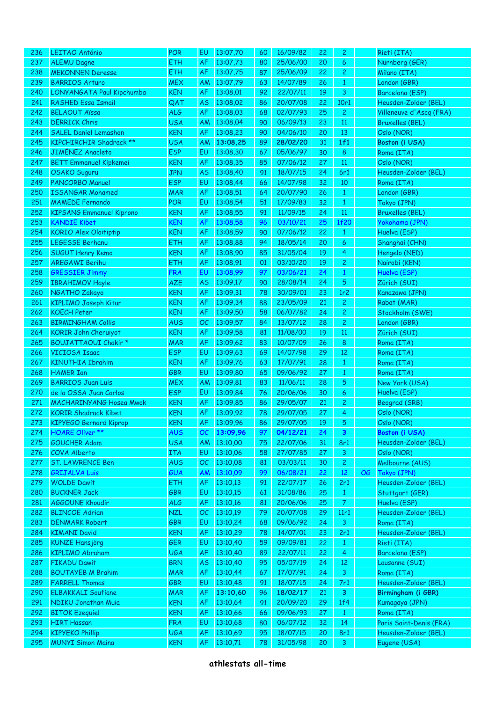| 236 | <b>LEITAO António</b>           | <b>POR</b> | <b>EU</b> | 13:07,70    | 60 | 16/09/82 | 22 | 2               |    | Rieti (ITA)             |
|-----|---------------------------------|------------|-----------|-------------|----|----------|----|-----------------|----|-------------------------|
| 237 | <b>ALEMU Dagne</b>              | <b>ETH</b> | AF        | 13:07,73    | 80 | 25/06/00 | 20 | 6               |    | Nürnberg (GER)          |
| 238 | <b>MEKONNEN Deresse</b>         | <b>ETH</b> | AF        | 13:07,75    | 87 | 25/06/09 | 22 | 2               |    | Milano (ITA)            |
| 239 | <b>BARRIOS Arturo</b>           | <b>MEX</b> | AM        | 13:07,79    | 63 | 14/07/89 | 26 | $\mathbf{1}$    |    | London (GBR)            |
| 240 | LONYANGATA Paul Kipchumba       | <b>KEN</b> | AF        | 13:08,01    | 92 | 22/07/11 | 19 | 3               |    | Barcelona (ESP)         |
| 241 | <b>RASHED Essa Ismail</b>       | QAT        | AS        | 13:08,02    | 86 | 20/07/08 | 22 | 10r1            |    | Heusden-Zolder (BEL)    |
| 242 | <b>BELAOUT Aïssa</b>            | ALG        | AF        | 13:08,03    | 68 | 02/07/93 | 25 | $\mathbf{2}$    |    | Villeneuve d'Ascq (FRA) |
| 243 | <b>DERRICK Chris</b>            | <b>USA</b> | AM        | 13:08,04    | 90 | 06/09/13 | 23 | 11              |    | <b>Bruxelles (BEL)</b>  |
| 244 | <b>SALEL Daniel Lemashon</b>    | <b>KEN</b> | AF        | 13:08,23    | 90 | 04/06/10 | 20 | 13              |    | Oslo (NOR)              |
| 245 | <b>KIPCHIRCHIR Shadrack **</b>  | <b>USA</b> | AM        | 13:08,25    | 89 | 28/02/20 | 31 | 1f1             |    | Boston (i USA)          |
| 246 | <b>JIMÉNEZ Anacleto</b>         | <b>ESP</b> | EU        | 13:08,30    | 67 | 05/06/97 | 30 | $8\phantom{1}$  |    | Roma (ITA)              |
|     |                                 | <b>KEN</b> |           |             |    | 07/06/12 |    |                 |    |                         |
| 247 | <b>BETT Emmanuel Kipkemei</b>   |            | AF        | 13:08,35    | 85 |          | 27 | 11              |    | Oslo (NOR)              |
| 248 | OSAKO Suguru                    | <b>JPN</b> | AS        | 13:08,40    | 91 | 18/07/15 | 24 | 6r1             |    | Heusden-Zolder (BEL)    |
| 249 | <b>PANCORBO Manuel</b>          | <b>ESP</b> | EU        | 13:08,44    | 66 | 14/07/98 | 32 | 10              |    | Roma (ITA)              |
| 250 | <b>ISSANGAR Mohamed</b>         | <b>MAR</b> | AF        | 13:08,51    | 64 | 20/07/90 | 26 | $\mathbf{1}$    |    | London (GBR)            |
| 251 | <b>MAMEDE Fernando</b>          | <b>POR</b> | EU        | 13:08,54    | 51 | 17/09/83 | 32 | $\mathbf{1}$    |    | Tokyo (JPN)             |
| 252 | <b>KIPSANG Emmanuel Kiprono</b> | <b>KEN</b> | AF        | 13:08,55    | 91 | 11/09/15 | 24 | 11              |    | <b>Bruxelles (BEL)</b>  |
| 253 | <b>KANDIE Kibet</b>             | <b>KEN</b> | AF        | 13:08,58    | 96 | 03/10/21 | 25 | <b>1f20</b>     |    | Yokohama (JPN)          |
| 254 | <b>KORIO Alex Oloitiptip</b>    | <b>KEN</b> | AF        | 13:08,59    | 90 | 07/06/12 | 22 | $\mathbf{1}$    |    | Huelva (ESP)            |
| 255 | <b>LEGESSE Berhanu</b>          | <b>ETH</b> | AF        | 13:08,88    | 94 | 18/05/14 | 20 | 6               |    | Shanghai (CHN)          |
| 256 | <b>SUGUT Henry Kemo</b>         | <b>KEN</b> | AF        | 13:08,90    | 85 | 31/05/04 | 19 | 4               |    | Hengelo (NED)           |
| 257 | <b>AREGAWI Berihu</b>           | <b>ETH</b> | AF        | 13:08,91    | 01 | 03/10/20 | 19 | $\mathbf{2}$    |    | Nairobi (KEN)           |
| 258 | <b>GRESSIER Jimmy</b>           | <b>FRA</b> | EU        | 13:08,99    | 97 | 03/06/21 | 24 | $\mathbf{1}$    |    | Huelva (ESP)            |
| 259 | <b>IBRAHIMOV Hayle</b>          | <b>AZE</b> | AS        | 13:09,17    | 90 | 28/08/14 | 24 | $\sqrt{5}$      |    | Zürich (SUI)            |
| 260 | NGATHO Zakayo                   | <b>KEN</b> | AF        | 13:09,31    | 78 | 30/09/01 | 23 | 1r <sub>2</sub> |    | Kanazawa (JPN)          |
| 261 | <b>KIPLIMO Joseph Kitur</b>     | <b>KEN</b> | AF        | 13:09,34    | 88 | 23/05/09 | 21 | $\mathbf{2}$    |    | Rabat (MAR)             |
| 262 | <b>KOECH Peter</b>              | <b>KEN</b> | AF        | 13:09,50    | 58 | 06/07/82 | 24 | $\overline{c}$  |    | Stockholm (SWE)         |
| 263 | <b>BIRMINGHAM Collis</b>        | <b>AUS</b> | OC        | 13:09,57    | 84 | 13/07/12 | 28 | $\mathbf{2}$    |    | London (GBR)            |
| 264 | <b>KORIR John Cheruiyot</b>     | <b>KEN</b> | AF        | 13:09,58    | 81 | 11/08/00 | 19 | $11\,$          |    | Zürich (SUI)            |
| 265 | <b>BOUJATTAOUI Chakir *</b>     | <b>MAR</b> | AF        | 13:09,62    | 83 | 10/07/09 | 26 | $8\phantom{1}$  |    |                         |
|     |                                 |            |           |             |    |          |    |                 |    | Roma (ITA)              |
| 266 | <b>VICIOSA Isaac</b>            | <b>ESP</b> | EU        | 13:09,63    | 69 | 14/07/98 | 29 | 12              |    | Roma (ITA)              |
| 267 | <b>KINUTHIA Ibrahim</b>         | <b>KEN</b> | AF        | 13:09,76    | 63 | 17/07/91 | 28 | $\mathbf{1}$    |    | Roma (ITA)              |
| 268 | <b>HAMER Ian</b>                | GBR        | EU        | 13:09,80    | 65 | 09/06/92 | 27 | $\mathbf{1}$    |    | Roma (ITA)              |
| 269 | <b>BARRIOS Juan Luis</b>        | <b>MEX</b> | AM        | 13:09,81    | 83 | 11/06/11 | 28 | $\sqrt{5}$      |    | New York (USA)          |
| 270 | de la OSSA Juan Carlos          | <b>ESP</b> | EU        | 13:09,84    | 76 | 20/06/06 | 30 | 6               |    | Huelva (ESP)            |
| 271 | <b>MACHARINYANG Hosea Mwok</b>  | <b>KEN</b> | AF        | 13:09,85    | 86 | 29/05/07 | 21 | $\overline{c}$  |    | Beograd (SRB)           |
| 272 | <b>KORIR Shadrack Kibet</b>     | <b>KEN</b> | AF        | 13:09,92    | 78 | 29/07/05 | 27 | 4               |    | Oslo (NOR)              |
| 273 | KIPYEGO Bernard Kiprop          | <b>KEN</b> |           | AF 13:09,96 | 86 | 29/07/05 | 19 | $5\phantom{.}$  |    | Oslo (NOR)              |
| 274 | <b>HOARE Oliver **</b>          | <b>AUS</b> | ОC        | 13:09,96    | 97 | 04/12/21 | 24 | 3               |    | Boston (i USA)          |
| 275 | <b>GOUCHER Adam</b>             | <b>USA</b> | AM        | 13:10,00    | 75 | 22/07/06 | 31 | 8r1             |    | Heusden-Zolder (BEL)    |
| 276 | COVA Alberto                    | <b>ITA</b> | EU        | 13:10,06    | 58 | 27/07/85 | 27 | 3               |    | Oslo (NOR)              |
| 277 | <b>ST. LAWRENCE Ben</b>         | <b>AUS</b> | OC        | 13:10,08    | 81 | 03/03/11 | 30 | $\mathbf{2}$    |    | Melbourne (AUS)         |
| 278 | <b>GRIJALVA Luis</b>            | <b>GUA</b> | AM        | 13:10,09    | 99 | 06/08/21 | 22 | 12              | OG | Tokyo (JPN)             |
| 279 | <b>WOLDE Dawit</b>              | ETH        | AF        | 13:10,13    | 91 | 22/07/17 | 26 | 2r1             |    | Heusden-Zolder (BEL)    |
| 280 | <b>BUCKNER Jack</b>             | GBR        | EU        | 13:10,15    | 61 | 31/08/86 | 25 | $\mathbf{1}$    |    | Stuttgart (GER)         |
| 281 | AGGOUNE Khoudir                 | <b>ALG</b> | AF        | 13:10,16    | 81 | 20/06/06 | 25 | $\mathcal{T}$   |    | Huelva (ESP)            |
| 282 | <b>BLINCOE Adrian</b>           | <b>NZL</b> | OC        | 13:10,19    | 79 | 20/07/08 | 29 | 11r1            |    | Heusden-Zolder (BEL)    |
| 283 | <b>DENMARK Robert</b>           | GBR        | EU        | 13:10,24    | 68 | 09/06/92 | 24 | 3               |    | Roma (ITA)              |
| 284 | <b>KIMANI David</b>             | <b>KEN</b> | AF        | 13:10,29    | 78 | 14/07/01 | 23 | 2r1             |    | Heusden-Zolder (BEL)    |
| 285 | <b>KUNZE Hansjörg</b>           | GER        | EU        | 13:10,40    | 59 | 09/09/81 | 22 | $\mathbf{1}$    |    | Rieti (ITA)             |
| 286 | <b>KIPLIMO Abraham</b>          | <b>UGA</b> | AF        | 13:10,40    | 89 | 22/07/11 | 22 | $\overline{4}$  |    | Barcelona (ESP)         |
|     |                                 |            |           | 13:10,40    |    |          |    |                 |    |                         |
| 287 | <b>FIKADU Dawit</b>             | <b>BRN</b> | AS        |             | 95 | 05/07/19 | 24 | 12              |    | Lausanne (SUI)          |
| 288 | <b>BOUTAYEB M Brahim</b>        | <b>MAR</b> | AF        | 13:10,44    | 67 | 17/07/91 | 24 | 3               |    | Roma (ITA)              |
| 289 | <b>FARRELL Thomas</b>           | GBR        | EU        | 13:10,48    | 91 | 18/07/15 | 24 | 7r1             |    | Heusden-Zolder (BEL)    |
| 290 | <b>ELBAKKALI Soufiane</b>       | <b>MAR</b> | AF        | 13:10,60    | 96 | 18/02/17 | 21 | $\mathbf{3}$    |    | Birmingham (i GBR)      |
| 291 | NDIKU Jonathan Muia             | <b>KEN</b> | AF        | 13:10,64    | 91 | 20/09/20 | 29 | 1f4             |    | Kumagaya (JPN)          |
| 292 | <b>BITOK Ezequiel</b>           | <b>KEN</b> | AF        | 13:10,66    | 66 | 09/06/93 | 27 | $\mathbf{1}$    |    | Roma (ITA)              |
| 293 | <b>HIRT Hassan</b>              | <b>FRA</b> | EU        | 13:10,68    | 80 | 06/07/12 | 32 | 14              |    | Paris Saint-Denis (FRA) |
| 294 | <b>KIPYEKO Phillip</b>          | <b>UGA</b> | AF        | 13:10,69    | 95 | 18/07/15 | 20 | 8r1             |    | Heusden-Zolder (BEL)    |
| 295 | <b>MUNYI Simon Maina</b>        | <b>KEN</b> | AF        | 13:10,71    | 78 | 31/05/98 | 20 | 3               |    | Eugene (USA)            |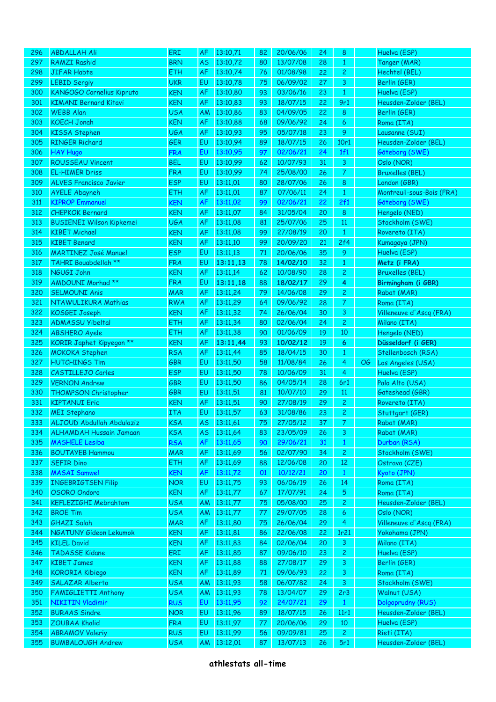| 296        | <b>ABDALLAH Ali</b>                                | ERI                      | <b>AF</b> | 13:10,71             | 82       | 20/06/06             | 24              | 8                     |    | Huelva (ESP)                        |
|------------|----------------------------------------------------|--------------------------|-----------|----------------------|----------|----------------------|-----------------|-----------------------|----|-------------------------------------|
| 297        | <b>RAMZI Rashid</b>                                | <b>BRN</b>               | <b>AS</b> | 13:10,72             | 80       | 13/07/08             | 28              | $\mathbf{1}$          |    | Tanger (MAR)                        |
| 298        | <b>JIFAR Habte</b>                                 | <b>ETH</b>               | <b>AF</b> | 13:10,74             | 76       | 01/08/98             | 22              | $\overline{c}$        |    | Hechtel (BEL)                       |
| 299        | <b>LEBID Sergiy</b>                                | <b>UKR</b>               | EU        | 13:10,78             | 75       | 06/09/02             | 27              | 3                     |    | Berlin (GER)                        |
| 300        | KANGOGO Cornelius Kipruto                          | <b>KEN</b>               | AF        | 13:10,80             | 93       | 03/06/16             | 23              | $\mathbf{1}$          |    | Huelva (ESP)                        |
| 301        | <b>KIMANI Bernard Kitavi</b>                       | <b>KEN</b>               | <b>AF</b> | 13:10,83             | 93       | 18/07/15             | 22              | 9r1                   |    | Heusden-Zolder (BEL)                |
| 302        | <b>WEBB Alan</b>                                   | <b>USA</b>               | <b>AM</b> | 13:10,86             | 83       | 04/09/05             | 22              | 8                     |    | Berlin (GER)                        |
| 303        | <b>KOECH Jonah</b>                                 | <b>KEN</b>               | <b>AF</b> | 13:10,88             | 68       | 09/06/92             | 24              | 6                     |    | Roma (ITA)                          |
| 304        | <b>KISSA Stephen</b>                               | <b>UGA</b>               | AF        | 13:10,93             | 95       | 05/07/18             | 23              | 9                     |    | Lausanne (SUI)                      |
| 305        | <b>RINGER Richard</b>                              | <b>GER</b>               | EU        | 13:10,94             | 89       | 18/07/15             | 26              | 10r1                  |    | Heusden-Zolder (BEL)                |
| 306        | <b>HAY Hugo</b>                                    | <b>FRA</b>               | EU        | 13:10,95             | 97       | 02/06/21             | 24              | 1f1                   |    | Göteborg (SWE)                      |
| 307        | <b>ROUSSEAU Vincent</b>                            | <b>BEL</b>               | EU        | 13:10,99             | 62       | 10/07/93             | 31              | 3                     |    | Oslo (NOR)                          |
| 308        | <b>EL-HIMER Driss</b>                              | <b>FRA</b>               | EU        | 13:10,99             | 74       | 25/08/00             | 26              | $\overline{7}$        |    | <b>Bruxelles (BEL)</b>              |
| 309        | <b>ALVES Francisco Javier</b>                      | <b>ESP</b>               | EU        | 13:11,01             | 80       | 28/07/06             | 26              | 8                     |    | London (GBR)                        |
| 310        | <b>AYELE Abayneh</b>                               | <b>ETH</b>               | AF        | 13:11,01             | 87       | 07/06/11             | 24              | $\mathbf{1}$          |    | Montreuil-sous-Bois (FRA)           |
| 311        | <b>KIPROP Emmanuel</b>                             | <b>KEN</b>               | AF        | 13:11,02             | 99       | 02/06/21             | 22              | 2f1                   |    | Göteborg (SWE)                      |
| 312        | <b>CHEPKOK Bernard</b>                             | <b>KEN</b>               | AF        | 13:11,07             | 84       | 31/05/04             | 20              | 8                     |    | Hengelo (NED)                       |
| 313        | <b>BUSIENEI Wilson Kipkemei</b>                    | <b>UGA</b>               | AF        | 13:11,08             | 81       | 25/07/06             | 25              | 11                    |    | Stockholm (SWE)                     |
| 314        | <b>KIBET Michael</b>                               | <b>KEN</b>               | AF        | 13:11,08             | 99       | 27/08/19             | 20              | $\mathbf{1}$          |    | Rovereto (ITA)                      |
| 315        | <b>KIBET Benard</b>                                | <b>KEN</b>               | AF        | 13:11,10             | 99       | 20/09/20             | 21              | 2f4                   |    | Kumagaya (JPN)                      |
| 316        | <b>MARTINEZ José Manuel</b>                        | <b>ESP</b>               | EU        | 13:11,13             | 71       | 20/06/06             | 35              | 9                     |    | Huelva (ESP)                        |
| 317        | TAHRI Bouabdellah **                               | <b>FRA</b>               | EU        | 13:11,13             | 78       | 14/02/10             | 32              | $\mathbf{1}$          |    | Metz (i FRA)                        |
| 318        | NGUGI John                                         | <b>KEN</b>               | AF        | 13:11,14             | 62       | 10/08/90             | 28              | $\overline{c}$        |    | <b>Bruxelles (BEL)</b>              |
| 319        | <b>AMDOUNI Morhad **</b>                           | <b>FRA</b>               | EU        | 13:11,18             | 88       | 18/02/17             | 29              | 4                     |    | Birmingham (i GBR)                  |
| 320        | <b>SELMOUNI Anis</b>                               | <b>MAR</b>               | AF        | 13:11,24             | 79       | 14/06/08             | 29              | $\mathbf{2}$          |    | Rabat (MAR)                         |
| 321        | NTAWULIKURA Mathias                                | <b>RWA</b>               | AF        | 13:11,29             | 64       | 09/06/92             | 28              | $\mathcal{T}$         |    | Roma (ITA)                          |
| 322        | KOSGEI Joseph                                      | <b>KEN</b>               | AF        | 13:11,32             | 74       | 26/06/04             | 30              | 3                     |    | Villeneuve d'Ascq (FRA)             |
| 323        | <b>ADMASSU Yibeltal</b>                            | <b>ETH</b>               | AF        | 13:11,34             | 80       | 02/06/04             | 24              | $\overline{c}$        |    | Milano (ITA)                        |
| 324        | <b>ABSHERO Ayele</b>                               | <b>ETH</b>               | AF        | 13:11,38             | 90       | 01/06/09             | 19              | 10                    |    | Hengelo (NED)                       |
| 325        | KORIR Japhet Kipyegon **                           | <b>KEN</b>               | AF        | 13:11,44             | 93       | 10/02/12             | 19              | 6                     |    | Düsseldorf (i GER)                  |
| 326        | <b>MOKOKA Stephen</b>                              | <b>RSA</b>               | <b>AF</b> | 13:11,44             | 85       | 18/04/15             | 30              | $\mathbf{1}$          |    | Stellenbosch (RSA)                  |
| 327        | <b>HUTCHINGS Tim</b>                               | GBR                      | EU        | 13:11,50             | 58       | 11/08/84             | 26              | 4                     | OG | Los Angeles (USA)                   |
| 328        | <b>CASTILLEJO Carles</b>                           | <b>ESP</b>               | EU        | 13:11,50             | 78       | 10/06/09             | 31              | 4                     |    | Huelva (ESP)                        |
| 329        | <b>VERNON Andrew</b>                               | GBR                      | EU        | 13:11,50             | 86       | 04/05/14             | 28              | 6r1                   |    | Palo Alto (USA)                     |
|            |                                                    |                          |           |                      | 81       |                      |                 |                       |    |                                     |
|            |                                                    |                          |           |                      |          |                      |                 |                       |    |                                     |
| 330        | THOMPSON Christopher                               | GBR                      | EU        | 13:11,51             |          | 10/07/10             | 29              | 11                    |    | Gateshead (GBR)                     |
| 331        | <b>KIPTANUI Eric</b>                               | <b>KEN</b>               | AF        | 13:11,51             | 90       | 27/08/19             | 29              | $\mathbf{2}$          |    | Rovereto (ITA)                      |
| 332        | <b>MEI Stephano</b>                                | <b>ITA</b>               | EU        | 13:11,57             | 63       | 31/08/86             | 23              | $\overline{c}$        |    | Stuttgart (GER)                     |
| 333        | ALJOUD Abdullah Abdulaziz                          | <b>KSA</b>               | <b>AS</b> | 13:11,61             | 75       | 27/05/12             | 37 <sup>°</sup> | $\hat{\mathbf{z}}$    |    | Rabat (MAR)                         |
| 334        | <b>ALHAMDAH Hussain Jamaan</b>                     | <b>KSA</b>               | AS        | 13:11,64             | 83       | 23/05/09             | 26              | 3                     |    | Rabat (MAR)                         |
| 335        | <b>MASHELE Lesiba</b>                              | <b>RSA</b>               | AF        | 13:11,65             | 90       | 29/06/21             | 31              | $\mathbf{1}$          |    | Durban (RSA)                        |
| 336        | <b>BOUTAYEB Hammou</b>                             | <b>MAR</b>               | AF        | 13:11,69             | 56       | 02/07/90             | 34              | $\mathbf{2}$          |    | Stockholm (SWE)                     |
| 337        | <b>SEFIR Dino</b>                                  | <b>ETH</b>               | AF        | 13:11,69             | 88       | 12/06/08             | 20              | $12\,$                |    | Ostrava (CZE)                       |
| 338        | <b>MASAI Samwel</b>                                | <b>KEN</b>               | <b>AF</b> | 13:11,72             | 01       | 10/12/21             | 20              | $\mathbf{1}$          |    | Kyoto (JPN)                         |
| 339        | <b>INGEBRIGTSEN Filip</b>                          | <b>NOR</b>               | EU        | 13:11,75             | 93       | 06/06/19             | 26              | 14                    |    | Roma (ITA)                          |
| 340        | OSORO Ondoro                                       | <b>KEN</b>               | <b>AF</b> | 13:11,77             | 67       | 17/07/91             | 24              | $\overline{5}$        |    | Roma (ITA)                          |
| 341        | <b>KEFLEZIGHI Mebrahtom</b>                        | <b>USA</b>               | <b>AM</b> | 13:11,77             | 75       | 05/08/00             | 25              | $\mathbf{2}$          |    | Heusden-Zolder (BEL)                |
| 342        | <b>BROE Tim</b>                                    | <b>USA</b>               | AM        | 13:11,77             | 77       | 29/07/05             | 28              | 6                     |    | Oslo (NOR)                          |
| 343        | <b>GHAZI Salah</b>                                 | <b>MAR</b>               | AF        | 13:11,80             | 75       | 26/06/04             | 29              | 4                     |    | Villeneuve d'Ascq (FRA)             |
| 344        | NGATUNY Gideon Lekumok                             | <b>KEN</b>               | AF        | 13:11,81             | 86       | 22/06/08             | 22              | 1r <sub>21</sub>      |    | Yokohama (JPN)                      |
| 345        | <b>KILEL David</b>                                 | <b>KEN</b>               | AF        | 13:11,83             | 84       | 02/06/04             | 20              | 3                     |    | Milano (ITA)                        |
| 346        | <b>TADASSE Kidane</b>                              | ERI                      | AF        | 13:11,85             | 87       | 09/06/10             | 23              | $\mathbf{2}$          |    | Huelva (ESP)                        |
| 347        | <b>KIBET James</b>                                 | <b>KEN</b>               | AF        | 13:11,88             | 88       | 27/08/17             | 29              | 3                     |    | Berlin (GER)                        |
| 348        | <b>KORORIA Kibiego</b>                             | <b>KEN</b>               | AF        | 13:11,89             | 71       | 09/06/93             | 22              | 3                     |    | Roma (ITA)                          |
| 349        | <b>SALAZAR Alberto</b>                             | <b>USA</b>               | <b>AM</b> | 13:11,93             | 58       | 06/07/82             | 24              | 3                     |    | Stockholm (SWE)                     |
| 350        | <b>FAMIGLIETTI Anthony</b>                         | <b>USA</b>               | AM        | 13:11,93             | 78       | 13/04/07             | 29              | 2r3                   |    | Walnut (USA)                        |
| 351        | <b>NIKITIN Vladimir</b>                            | <b>RUS</b>               | EU        | 13:11,95             | 92       | 24/07/21             | 29              | $\mathbf{1}$          |    | Dolgoprudny (RUS)                   |
| 352        | <b>BURAAS Sindre</b>                               | <b>NOR</b>               | EU        | 13:11,96             | 89       | 18/07/15             | 26              | 11r1                  |    | Heusden-Zolder (BEL)                |
| 353        | <b>ZOUBAA Khalid</b>                               | <b>FRA</b>               | EU        | 13:11,97             | 77       | 20/06/06             | 29              | 10                    |    | Huelva (ESP)                        |
| 354<br>355 | <b>ABRAMOV Valeriy</b><br><b>BUMBALOUGH Andrew</b> | <b>RUS</b><br><b>USA</b> | EU<br>AM  | 13:11,99<br>13:12,01 | 56<br>87 | 09/09/81<br>13/07/13 | 25<br>26        | $\overline{2}$<br>5r1 |    | Rieti (ITA)<br>Heusden-Zolder (BEL) |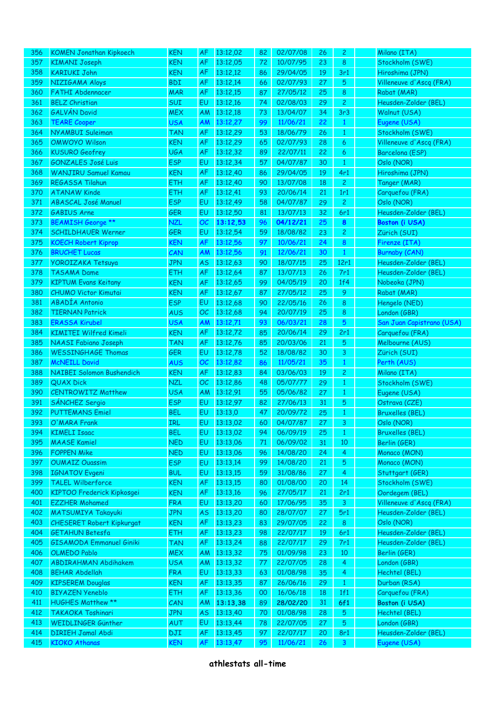| 356 | <b>KOMEN Jonathan Kipkoech</b>    | <b>KEN</b> | <b>AF</b> | 13:12,02    | 82 | 02/07/08 | 26 | $\overline{c}$  | Milano (ITA)              |
|-----|-----------------------------------|------------|-----------|-------------|----|----------|----|-----------------|---------------------------|
| 357 | <b>KIMANI Joseph</b>              | <b>KEN</b> | <b>AF</b> | 13:12,05    | 72 | 10/07/95 | 23 | 8               | Stockholm (SWE)           |
| 358 | <b>KARIUKI John</b>               | <b>KEN</b> | AF        | 13:12,12    | 86 | 29/04/05 | 19 | 3r1             | Hiroshima (JPN)           |
| 359 | NIZIGAMA Aloys                    | <b>BDI</b> | <b>AF</b> | 13:12,14    | 66 | 02/07/93 | 27 | 5               | Villeneuve d'Ascq (FRA)   |
| 360 | <b>FATHI Abdennacer</b>           | <b>MAR</b> | <b>AF</b> | 13:12,15    | 87 | 27/05/12 | 25 | 8               | Rabat (MAR)               |
| 361 | <b>BELZ Christian</b>             | <b>SUI</b> | EU        | 13:12,16    | 74 | 02/08/03 | 29 | $\overline{c}$  | Heusden-Zolder (BEL)      |
| 362 | <b>GALVÁN David</b>               | <b>MEX</b> | AM        | 13:12,18    | 73 | 13/04/07 | 34 | 3r3             | Walnut (USA)              |
| 363 | <b>TEARE Cooper</b>               | <b>USA</b> | AM        | 13:12,27    | 99 | 11/06/21 | 22 | $\mathbf{1}$    | Eugene (USA)              |
| 364 | <b>NYAMBUI Suleiman</b>           | <b>TAN</b> | <b>AF</b> | 13:12,29    | 53 | 18/06/79 | 26 | $\mathbf{1}$    | Stockholm (SWE)           |
| 365 | <b>OMWOYO Wilson</b>              | <b>KEN</b> | <b>AF</b> | 13:12,29    | 65 | 02/07/93 | 28 | 6               | Villeneuve d'Ascq (FRA)   |
| 366 | <b>KUSURO Geofrey</b>             | <b>UGA</b> | <b>AF</b> | 13:12,32    | 89 | 22/07/11 | 22 | 6               | Barcelona (ESP)           |
| 367 | <b>GONZALES José Luis</b>         | <b>ESP</b> | EU        | 13:12,34    | 57 | 04/07/87 | 30 | $\mathbf{1}$    | Oslo (NOR)                |
| 368 | <b>WANJIRU Samuel Kamau</b>       | <b>KEN</b> | <b>AF</b> | 13:12,40    | 86 | 29/04/05 | 19 | 4r1             | Hiroshima (JPN)           |
| 369 | REGASSA Tilahun                   | <b>ETH</b> | <b>AF</b> | 13:12,40    | 90 | 13/07/08 | 18 | $\mathbf{2}$    | Tanger (MAR)              |
| 370 | <b>ATANAW Kinde</b>               | <b>ETH</b> | <b>AF</b> | 13:12,41    | 93 | 20/06/14 | 21 | 1r1             | Carquefou (FRA)           |
| 371 | <b>ABASCAL José Manuel</b>        | <b>ESP</b> | EU        | 13:12,49    | 58 | 04/07/87 | 29 | $\mathbf{2}$    | Oslo (NOR)                |
| 372 | <b>GABIUS Arne</b>                | <b>GER</b> | EU        | 13:12,50    | 81 | 13/07/13 | 32 | 6r1             | Heusden-Zolder (BEL)      |
| 373 | <b>BEAMISH George **</b>          | <b>NZL</b> | OC        | 13:12,53    | 96 | 04/12/21 | 25 | 8               | <b>Boston (i USA)</b>     |
| 374 | <b>SCHILDHAUER Werner</b>         | <b>GER</b> | EU        | 13:12,54    | 59 | 18/08/82 | 23 | $\overline{c}$  | Zürich (SUI)              |
| 375 | <b>KOECH Robert Kiprop</b>        | <b>KEN</b> | AF        | 13:12,56    | 97 | 10/06/21 | 24 | $\bf 8$         | Firenze (ITA)             |
| 376 | <b>BRUCHET Lucas</b>              | CAN        | AM        | 13:12,56    | 91 | 12/06/21 | 30 | $\mathbf{1}$    | <b>Burnaby (CAN)</b>      |
| 377 | <b>YOROIZAKA Tetsuya</b>          | <b>JPN</b> | <b>AS</b> | 13:12,63    | 90 | 18/07/15 | 25 | 12r1            | Heusden-Zolder (BEL)      |
| 378 | <b>TASAMA Dame</b>                | <b>ETH</b> | <b>AF</b> | 13:12,64    | 87 | 13/07/13 | 26 | 7r1             | Heusden-Zolder (BEL)      |
| 379 | <b>KIPTUM Evans Keitany</b>       | <b>KEN</b> | <b>AF</b> | 13:12,65    | 99 | 04/05/19 | 20 | 1f4             | Nobeoka (JPN)             |
| 380 | <b>CHUMO Victor Kimutai</b>       | <b>KEN</b> | <b>AF</b> | 13:12,67    | 87 | 27/05/12 | 25 | 9               | Rabat (MAR)               |
| 381 | <b>ABADÍA Antonio</b>             | <b>ESP</b> | EU        | 13:12,68    | 90 | 22/05/16 | 26 | 8               | Hengelo (NED)             |
| 382 | <b>TIERNAN Patrick</b>            | <b>AUS</b> | OC        | 13:12,68    | 94 | 20/07/19 | 25 | 8               | London (GBR)              |
| 383 | <b>ERASSA Kirubel</b>             | <b>USA</b> | AM        | 13:12,71    | 93 | 06/03/21 | 28 | $5\phantom{.0}$ | San Juan Capistrano (USA) |
| 384 | <b>KIMITEI Wilfred Kimeli</b>     | <b>KEN</b> | <b>AF</b> | 13:12,72    | 85 | 20/06/14 | 29 | 2r1             | Carquefou (FRA)           |
| 385 | <b>NAASI Fabiano Joseph</b>       | <b>TAN</b> | <b>AF</b> | 13:12,76    | 85 | 20/03/06 | 21 | 5               | Melbourne (AUS)           |
| 386 | <b>WESSINGHAGE Thomas</b>         | <b>GER</b> | EU        | 13:12,78    | 52 | 18/08/82 | 30 | 3               | Zürich (SUI)              |
| 387 | <b>McNEILL David</b>              | <b>AUS</b> | OC        | 13:12,82    | 86 | 11/05/21 | 35 | $\mathbf{1}$    | Perth (AUS)               |
| 388 | NAIBEI Solomon Bushendich         | <b>KEN</b> | <b>AF</b> | 13:12,83    | 84 | 03/06/03 | 19 | $\overline{c}$  | Milano (ITA)              |
| 389 | <b>QUAX Dick</b>                  | <b>NZL</b> | OC        | 13:12,86    | 48 | 05/07/77 | 29 | $\mathbf{1}$    | Stockholm (SWE)           |
| 390 | <b>CENTROWITZ Matthew</b>         | <b>USA</b> | AM        | 13:12,91    | 55 | 05/06/82 | 27 | $\mathbf{1}$    | Eugene (USA)              |
| 391 | SÁNCHEZ Sergio                    | <b>ESP</b> | EU        | 13:12,97    | 82 | 27/06/13 | 31 | $\sqrt{5}$      | Ostrava (CZE)             |
| 392 | <b>PUTTEMANS Emiel</b>            | <b>BEL</b> | EU        | 13:13,0     | 47 | 20/09/72 | 25 | $\mathbf{1}$    | <b>Bruxelles (BEL)</b>    |
| 393 | O'MARA Frank                      | IRL        |           | EU 13:13,02 | 60 | 04/07/87 | 27 | $\mathbf{3}$    | Oslo (NOR)                |
| 394 | <b>KIMELI Isaac</b>               | <b>BEL</b> | EU        | 13:13,02    | 94 | 06/09/19 | 25 | $\mathbf{1}$    | <b>Bruxelles (BEL)</b>    |
| 395 | <b>MAASE Kamiel</b>               | <b>NED</b> | EU        | 13:13,06    | 71 | 06/09/02 | 31 | 10              | Berlin (GER)              |
| 396 | <b>FOPPEN Mike</b>                | <b>NED</b> | EU        | 13:13,06    | 96 | 14/08/20 | 24 | $\overline{4}$  | Monaco (MON)              |
| 397 | <b>OUMAIZ Ouassim</b>             | <b>ESP</b> | EU        | 13:13,14    | 99 | 14/08/20 | 21 | 5               | Monaco (MON)              |
| 398 | <b>IGNATOV</b> Evgeni             | <b>BUL</b> | EU        | 13:13,15    | 59 | 31/08/86 | 27 | 4               | Stuttgart (GER)           |
| 399 | <b>TALEL Wilberforce</b>          | <b>KEN</b> | <b>AF</b> | 13:13,15    | 80 | 01/08/00 | 20 | 14              | Stockholm (SWE)           |
| 400 | <b>KIPTOO Frederick Kipkosgei</b> | <b>KEN</b> | <b>AF</b> | 13:13,16    | 96 | 27/05/17 | 21 | 2r1             | Oordegem (BEL)            |
| 401 | <b>EZZHER Mohamed</b>             | <b>FRA</b> | EU        | 13:13,20    | 60 | 17/06/95 | 35 | 3               | Villeneuve d'Ascq (FRA)   |
| 402 | <b>MATSUMIYA Takayuki</b>         | <b>JPN</b> | <b>AS</b> | 13:13,20    | 80 | 28/07/07 | 27 | 5r1             | Heusden-Zolder (BEL)      |
| 403 | <b>CHESERET Robert Kipkurgat</b>  | <b>KEN</b> | AF        | 13:13,23    | 83 | 29/07/05 | 22 | $8\phantom{1}$  | Oslo (NOR)                |
| 404 | <b>GETAHUN Betesfa</b>            | <b>ETH</b> | <b>AF</b> | 13:13,23    | 98 | 22/07/17 | 19 | 6r1             | Heusden-Zolder (BEL)      |
| 405 | <b>GISAMODA Emmanuel Giniki</b>   | <b>TAN</b> | <b>AF</b> | 13:13,24    | 88 | 22/07/17 | 29 | 7r1             | Heusden-Zolder (BEL)      |
| 406 | <b>OLMEDO Pablo</b>               | <b>MEX</b> | <b>AM</b> | 13:13,32    | 75 | 01/09/98 | 23 | 10              | Berlin (GER)              |
| 407 | <b>ABDIRAHMAN Abdihakem</b>       | <b>USA</b> | <b>AM</b> | 13:13,32    | 77 | 22/07/05 | 28 | $\overline{4}$  | London (GBR)              |
| 408 | <b>BEHAR Abdellah</b>             | <b>FRA</b> | EU        | 13:13,33    | 63 | 01/08/98 | 35 | 4               | Hechtel (BEL)             |
| 409 | <b>KIPSEREM Douglas</b>           | <b>KEN</b> | <b>AF</b> | 13:13,35    | 87 | 26/06/16 | 29 | $\mathbf{1}$    | Durban (RSA)              |
| 410 | <b>BIYAZEN Yeneblo</b>            | <b>ETH</b> | <b>AF</b> | 13:13,36    | 00 | 16/06/18 | 18 | 1f1             | Carquefou (FRA)           |
| 411 | <b>HUGHES Matthew **</b>          | CAN        | <b>AM</b> | 13:13,38    | 89 | 28/02/20 | 31 | 6f1             | Boston (i USA)            |
| 412 | TAKAOKA Toshinari                 | <b>JPN</b> | <b>AS</b> | 13:13,40    | 70 | 01/08/98 | 28 | $\sqrt{5}$      | Hechtel (BEL)             |
| 413 | WEIDLINGER Günther                | AUT        | EU        | 13:13,44    | 78 | 22/07/05 | 27 | $\sqrt{5}$      | London (GBR)              |
| 414 | <b>DIRIEH Jamal Abdi</b>          | <b>DJI</b> | AF        | 13:13,45    | 97 | 22/07/17 | 20 | 8r1             | Heusden-Zolder (BEL)      |
| 415 | <b>KIOKO Athanas</b>              | <b>KEN</b> | AF        | 13:13,47    | 95 | 11/06/21 | 26 | 3               | Eugene (USA)              |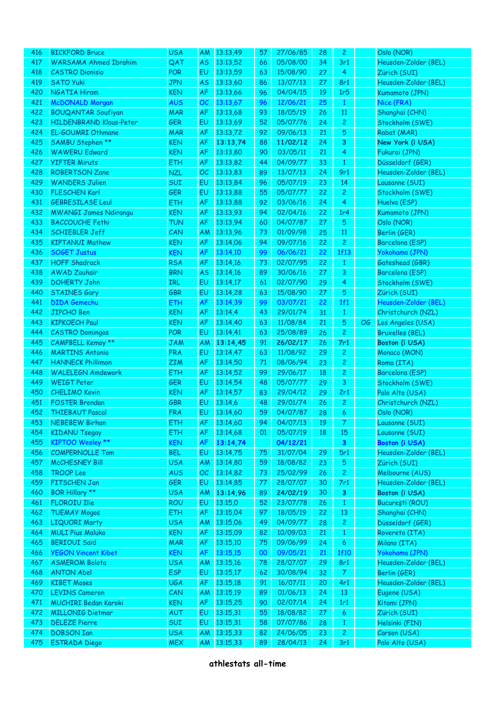| 416        | <b>BICKFORD Bruce</b>                     | <b>USA</b>        | <b>AM</b>       | 13:13,49             | 57       | 27/06/85             | 28       | $\mathbf{2}$          |    | Oslo (NOR)                     |
|------------|-------------------------------------------|-------------------|-----------------|----------------------|----------|----------------------|----------|-----------------------|----|--------------------------------|
| 417        | <b>WARSAMA Ahmed Ibrahim</b>              | QAT               | <b>AS</b>       | 13:13,52             | 66       | 05/08/00             | 34       | 3r1                   |    | Heusden-Zolder (BEL)           |
| 418        | <b>CASTRO Dionisio</b>                    | <b>POR</b>        | EU              | 13:13,59             | 63       | 15/08/90             | 27       | $\overline{4}$        |    | Zürich (SUI)                   |
| 419        | <b>SATO Yuki</b>                          | <b>JPN</b>        | <b>AS</b>       | 13:13,60             | 86       | 13/07/13             | 27       | 8r1                   |    | Heusden-Zolder (BEL)           |
| 420        | <b>NGATIA Hiram</b>                       | <b>KEN</b>        | <b>AF</b>       | 13:13,66             | 96       | 04/04/15             | 19       | 1r5                   |    | Kumamoto (JPN)                 |
| 421        | <b>McDONALD Morgan</b>                    | <b>AUS</b>        | OC              | 13:13,67             | 96       | 12/06/21             | 25       | $\mathbf{1}$          |    | Nice (FRA)                     |
| 422        | <b>BOUQANTAR Soufiyan</b>                 | <b>MAR</b>        | <b>AF</b>       | 13:13,68             | 93       | 18/05/19             | 26       | 11                    |    | Shanghai (CHN)                 |
| 423        | HILDENBRAND Klaus-Peter                   | <b>GER</b>        | EU              | 13:13,69             | 52       | 05/07/76             | 24       | $\mathbf{2}$          |    | Stockholm (SWE)                |
| 424        | EL-GOUMRI Othmane                         | <b>MAR</b>        | AF              | 13:13,72             | 92       | 09/06/13             | 21       | $\sqrt{5}$            |    | Rabat (MAR)                    |
| 425        | SAMBU Stephen **                          | <b>KEN</b>        | <b>AF</b>       | 13:13,74             | 88       | 11/02/12             | 24       | 3                     |    | New York (i USA)               |
| 426        | <b>WAWERU Edward</b>                      | <b>KEN</b>        | AF              | 13:13,80             | 90       | 03/05/11             | 21       | $\overline{4}$        |    | Fukuroi (JPN)                  |
| 427        | <b>YIFTER Miruts</b>                      | <b>ETH</b>        | AF              | 13:13,82             | 44       | 04/09/77             | 33       | $\mathbf{1}$          |    | Düsseldorf (GER)               |
| 428        | <b>ROBERTSON Zane</b>                     | <b>NZL</b>        | OC              | 13:13,83             | 89       | 13/07/13             | 24       | 9r1                   |    | Heusden-Zolder (BEL)           |
| 429        | <b>WANDERS Julien</b>                     | SUI               | EU              | 13:13,84             | 96       | 05/07/19             | 23       | 14                    |    | Lausanne (SUI)                 |
| 430        | <b>FLESCHEN Karl</b>                      | <b>GER</b>        | EU              | 13:13,88             | 55       | 05/07/77             | 22       | $\mathbf{2}$          |    | Stockholm (SWE)                |
| 431        | <b>GEBRESILASE Leul</b>                   | <b>ETH</b>        | AF              | 13:13,88             | 92       | 03/06/16             | 24       | $\overline{4}$        |    | Huelva (ESP)                   |
| 432        | <b>MWANGI James Ndirangu</b>              | <b>KEN</b>        | AF              | 13:13,93             | 94       | 02/04/16             | 22       | 1r <sub>4</sub>       |    | Kumamoto (JPN)                 |
| 433        | <b>BACCOUCHE Fethi</b>                    | <b>TUN</b>        | AF              | 13:13,94             | 60       | 04/07/87             | 27       | $\overline{5}$        |    | Oslo (NOR)                     |
| 434        | <b>SCHIEBLER Jeff</b>                     | CAN               | <b>AM</b>       | 13:13,96             | 73       | 01/09/98             | 25       | 11                    |    | Berlin (GER)                   |
| 435        | <b>KIPTANUI Mathew</b>                    | <b>KEN</b>        | AF              | 13:14,06             | 94       | 09/07/16             | 22       | $\overline{c}$        |    | Barcelona (ESP)                |
| 436        | <b>SOGET Justus</b>                       | <b>KEN</b>        | AF              | 13:14,10             | 99       | 06/06/21             | 22       | 1f13                  |    | Yokohama (JPN)                 |
| 437        | <b>HOFF Shadrack</b>                      | <b>RSA</b>        | AF              | 13:14,16             | 73       | 02/07/95             | 22       | $\mathbf{1}$          |    | Gateshead (GBR)                |
| 438        | <b>AWAD Zouhair</b>                       | <b>BRN</b>        | <b>AS</b>       | 13:14,16             | 89       | 30/06/16             | 27       | 3                     |    | Barcelona (ESP)                |
| 439        | <b>DOHERTY John</b>                       | IRL               | EU              | 13:14,17             | 61       | 02/07/90             | 29       | $\overline{4}$        |    | Stockholm (SWE)                |
| 440        | <b>STAINES Gary</b>                       | GBR               | EU              | 13:14,28             | 63       | 15/08/90             | 27       | 5                     |    | Zürich (SUI)                   |
| 441        | <b>DIDA</b> Gemechu                       | ETH               | AF              | 13:14,39             | 99       | 03/07/21             | 22       | 1f1                   |    | Heusden-Zolder (BEL)           |
| 442        | <b>JIPCHO Ben</b>                         | <b>KEN</b>        | AF              | 13:14,4              | 43       | 29/01/74             | 31       | $\mathbf{1}$          |    | Christchurch (NZL)             |
| 443        | <b>KIPKOECH Paul</b>                      | <b>KEN</b>        | <b>AF</b>       | 13:14,40             | 63       | 11/08/84             | 21       | 5                     | OG | Los Angeles (USA)              |
| 444        | <b>CASTRO Domingos</b>                    | <b>POR</b>        | EU              | 13:14,41             | 63       | 25/08/89             | 26       | $\overline{c}$        |    | <b>Bruxelles (BEL)</b>         |
| 445        | CAMPBELL Kemoy **                         | <b>JAM</b>        | AM              | 13:14,45             | 91       | 26/02/17             | 26       | 7r1                   |    | Boston (i USA)                 |
| 446        | <b>MARTINS Antonio</b>                    | <b>FRA</b>        | EU              | 13:14,47             | 63       | 11/08/92             | 29       | $\overline{c}$        |    | Monaco (MON)                   |
| 447        | <b>HANNECK Phillimon</b>                  | <b>ZIM</b>        | AF              | 13:14,50             | 71       | 08/06/94             | 23       | $\overline{c}$        |    | Roma (ITA)                     |
| 448        | <b>WALELEGN Amdework</b>                  | <b>ETH</b>        | <b>AF</b>       | 13:14,52             | 99       | 29/06/17             | 18       | $\mathbf{2}$          |    | Barcelona (ESP)                |
| 449        | <b>WEIGT Peter</b>                        | <b>GER</b>        | EU              | 13:14,54             | 48       | 05/07/77             | 29       | 3                     |    | Stockholm (SWE)                |
| 450        | <b>CHELIMO Kevin</b>                      | <b>KEN</b>        | <b>AF</b>       | 13:14,57             | 83       | 29/04/12             | 29       | 2r1                   |    | Palo Alto (USA)                |
| 451        | <b>FOSTER Brendan</b>                     | GBR               | EU              | 13:14,6              | 48       | 29/01/74             | 26       | $\mathbf{2}$          |    | Christchurch (NZL)             |
| 452        | <b>THIEBAUT Pascal</b>                    | <b>FRA</b>        | EU              | 13:14,60             | 59       | 04/07/87             | 28       | $\ddot{\mathbf{6}}$   |    | Oslo (NOR)                     |
| 453        | <b>NEBEBEW Birhan</b>                     | ETH               | AF              | 13:14,60             | 94       | 04/07/13             | 19       | 7 <sup>7</sup>        |    | Lausanne (SUI)                 |
| 454        | <b>KIDANU Tsegay</b>                      | <b>ETH</b>        | AF              | 13:14,68             | 01       | 05/07/19             | 18       | 15                    |    | Lausanne (SUI)                 |
| 455        | <b>KIPTOO Wesley **</b>                   | <b>KEN</b>        | <b>AF</b>       | 13:14,74             |          | 04/12/21             |          | $\mathbf{3}$          |    | Boston (i USA)                 |
| 456        | <b>COMPERNOLLE Tom</b>                    | <b>BEL</b>        | EU              | 13:14,75             | 75       | 31/07/04             | 29       | 5r1                   |    | Heusden-Zolder (BEL)           |
| 457        | <b>McCHESNEY Bill</b>                     | <b>USA</b>        | AM              | 13:14,80             | 59       | 18/08/82             | 23       | $\overline{5}$        |    | Zürich (SUI)                   |
| 458        | <b>TROOP Lee</b>                          | <b>AUS</b>        | OC              | 13:14,82             | 73       | 25/02/99             | 26       | $\overline{2}$        |    | Melbourne (AUS)                |
| 459        | FITSCHEN Jan                              | <b>GER</b>        | EU              | 13:14,85             | 77       | 28/07/07             | 30       | 7r1                   |    | Heusden-Zolder (BEL)           |
| 460        | BOR Hillary **                            | <b>USA</b>        | <b>AM</b>       | 13:14,96             | 89       | 24/02/19             | 30       | 3                     |    | Boston (i USA)                 |
| 461        | <b>FLOROIU Ilie</b>                       | <b>ROU</b>        | EU              | 13:15,0              | 52       | 23/07/78             | 26       | $\mathbf{1}$          |    | București (ROU)                |
| 462        | <b>TUEMAY Mogos</b>                       | <b>ETH</b>        | AF              | 13:15,04             | 97       | 18/05/19             | 22       | 13                    |    | Shanghai (CHN)                 |
| 463        | <b>LIQUORI Marty</b>                      | <b>USA</b>        | <b>AM</b>       | 13:15,06             | 49       | 04/09/77             | 28       | $\mathbf{2}$          |    | Düsseldorf (GER)               |
| 464        | <b>MULI Pius Maluko</b>                   | <b>KEN</b>        | AF              | 13:15,09             | 82       | 10/09/03             | 21       | $\mathbf{1}$          |    | Rovereto (ITA)                 |
| 465        | <b>BERIOUI Saïd</b>                       | <b>MAR</b>        | AF              | 13:15,10             | 75       | 09/06/99             | 24       | 6                     |    | Milano (ITA)                   |
| 466        | <b>YEGON Vincent Kibet</b>                | <b>KEN</b>        | AF              | 13:15,15             | 00       | 09/05/21             | 21       | 1f10                  |    | Yokohama (JPN)                 |
| 467        | <b>ASMEROM Bolota</b>                     | <b>USA</b>        | <b>AM</b>       | 13:15,16             | 78       | 28/07/07             | 29       | 8r1                   |    | Heusden-Zolder (BEL)           |
| 468        | <b>ANTON Abel</b>                         | <b>ESP</b>        | EU              | 13:15,17             | 62       | 30/08/94             | 32       | $\mathcal{T}$         |    | Berlin (GER)                   |
| 469        | <b>KIBET Moses</b>                        | <b>UGA</b>        | AF              | 13:15,18             | 91       | 16/07/11             | 20       | 4r1                   |    | Heusden-Zolder (BEL)           |
| 470        | <b>LEVINS Cameron</b>                     | CAN               | <b>AM</b>       | 13:15,19             | 89       | 01/06/13             | 24       | 13                    |    | Eugene (USA)                   |
| 471        | <b>MUCHIRI Bedan Karoki</b>               |                   | <b>AF</b>       | 13:15,25             |          | 02/07/14             | 24       |                       |    |                                |
| 472        |                                           | <b>KEN</b><br>AUT |                 |                      | 90       | 18/08/82             |          | 1r1                   |    | Kitami (JPN)                   |
|            | <b>MILLONIG Dietmar</b>                   |                   | EU              | 13:15,31             | 55       |                      | 27       | 6                     |    | Zürich (SUI)                   |
| 473<br>474 | <b>DELEZE Pierre</b><br><b>DOBSON Ian</b> | SUI<br><b>USA</b> | EU              | 13:15,31<br>13:15,33 | 58       | 07/07/86<br>24/06/05 | 28<br>23 | $\mathbf{1}$          |    | Helsinki (FIN)<br>Carson (USA) |
|            |                                           |                   |                 |                      |          |                      |          |                       |    |                                |
| 475        | <b>ESTRADA</b> Diego                      | <b>MEX</b>        | <b>AM</b><br>AM | 13:15,33             | 82<br>89 | 28/04/13             | 24       | $\overline{c}$<br>3r1 |    | Palo Alto (USA)                |